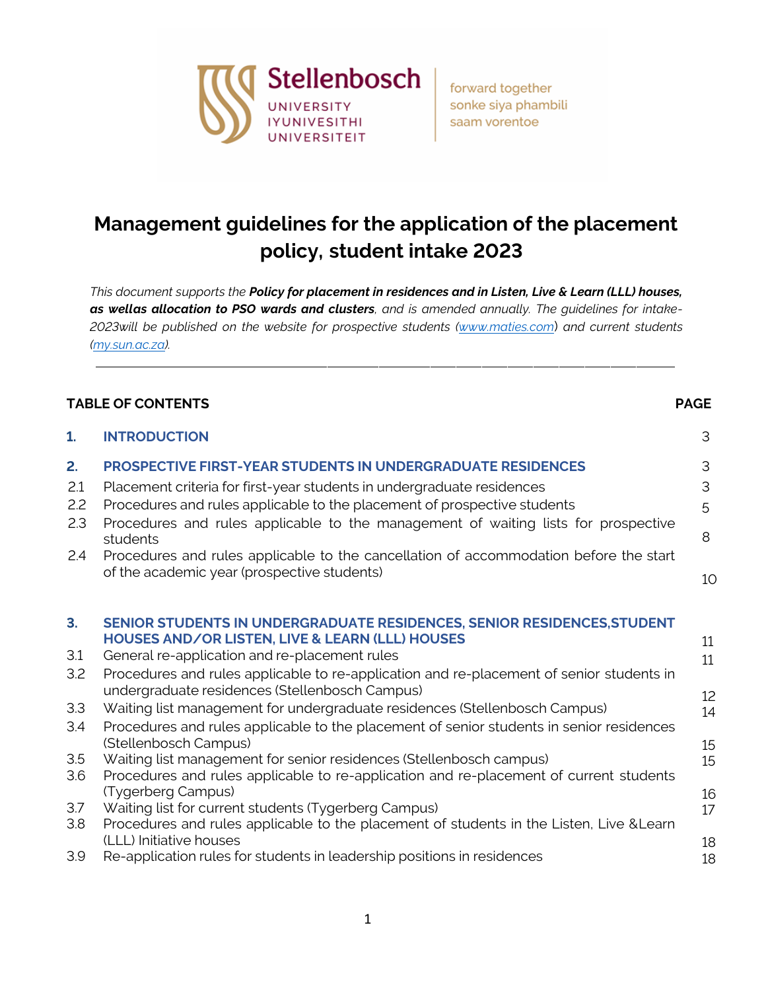

forward together sonke siya phambili saam vorentoe

# **Management guidelines for the application of the placement policy, student intake 2023**

*This document supports the Policy for placement in residences and in Listen, Live & Learn (LLL) houses, as wellas allocation to PSO wards and clusters, and is amended annually. The guidelines for intake-2023will be published on the website for prospective students (www.maties.com*) *and current students (my.sun.ac.za).*

#### **TABLE OF CONTENTS PAGE**

| 1.                                                              | <b>INTRODUCTION</b>                                                                                                                                                                                                                                                                                                                                                                                                                                                                                                                                                                                                                                                                                                                                                                    | 3                                            |
|-----------------------------------------------------------------|----------------------------------------------------------------------------------------------------------------------------------------------------------------------------------------------------------------------------------------------------------------------------------------------------------------------------------------------------------------------------------------------------------------------------------------------------------------------------------------------------------------------------------------------------------------------------------------------------------------------------------------------------------------------------------------------------------------------------------------------------------------------------------------|----------------------------------------------|
| 2.<br>2.1<br>2.2<br>2.3<br>2.4                                  | <b>PROSPECTIVE FIRST-YEAR STUDENTS IN UNDERGRADUATE RESIDENCES</b><br>Placement criteria for first-year students in undergraduate residences<br>Procedures and rules applicable to the placement of prospective students<br>Procedures and rules applicable to the management of waiting lists for prospective<br>students<br>Procedures and rules applicable to the cancellation of accommodation before the start<br>of the academic year (prospective students)                                                                                                                                                                                                                                                                                                                     | 3<br>3<br>5<br>8<br>10                       |
| 3 <sub>1</sub><br>3.1<br>3.2<br>3.3<br>3.4<br>3.5<br>3.6<br>3.7 | SENIOR STUDENTS IN UNDERGRADUATE RESIDENCES, SENIOR RESIDENCES, STUDENT<br><b>HOUSES AND/OR LISTEN, LIVE &amp; LEARN (LLL) HOUSES</b><br>General re-application and re-placement rules<br>Procedures and rules applicable to re-application and re-placement of senior students in<br>undergraduate residences (Stellenbosch Campus)<br>Waiting list management for undergraduate residences (Stellenbosch Campus)<br>Procedures and rules applicable to the placement of senior students in senior residences<br>(Stellenbosch Campus)<br>Waiting list management for senior residences (Stellenbosch campus)<br>Procedures and rules applicable to re-application and re-placement of current students<br>(Tygerberg Campus)<br>Waiting list for current students (Tygerberg Campus) | 11<br>11<br>12<br>14<br>15<br>15<br>16<br>17 |
| 3.8<br>3.9                                                      | Procedures and rules applicable to the placement of students in the Listen, Live & Learn<br>(LLL) Initiative houses<br>Re-application rules for students in leadership positions in residences                                                                                                                                                                                                                                                                                                                                                                                                                                                                                                                                                                                         | 18<br>18                                     |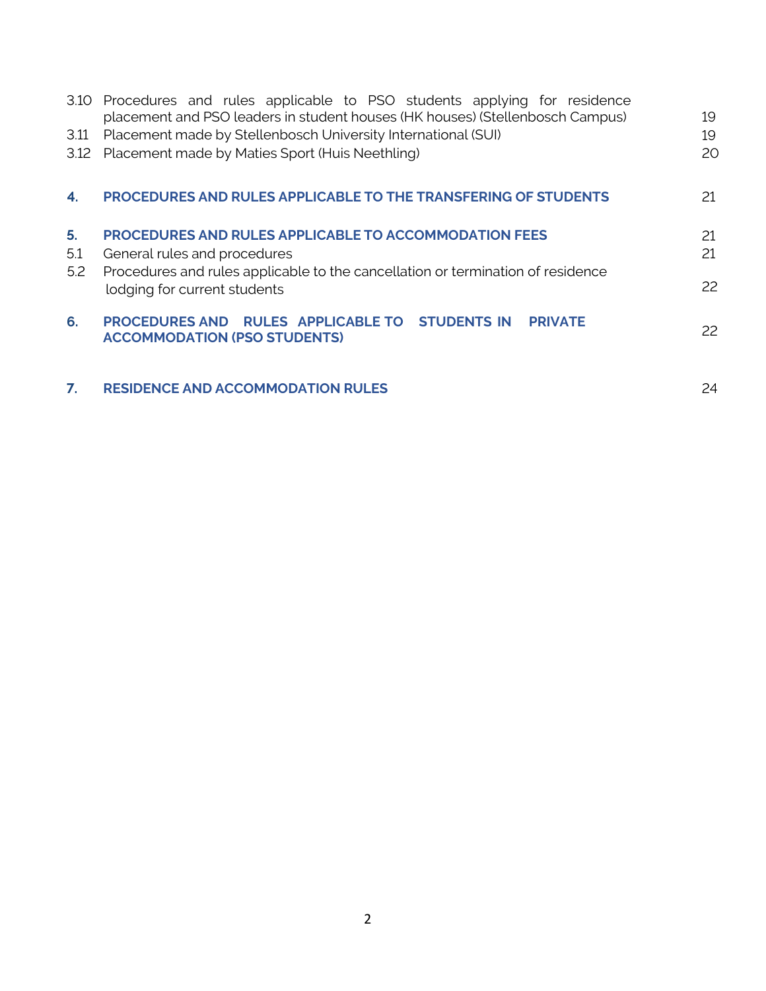|      | 3.10 Procedures and rules applicable to PSO students applying for residence<br>placement and PSO leaders in student houses (HK houses) (Stellenbosch Campus) | 19 |
|------|--------------------------------------------------------------------------------------------------------------------------------------------------------------|----|
| 3.11 | Placement made by Stellenbosch University International (SUI)                                                                                                | 19 |
|      | 3.12 Placement made by Maties Sport (Huis Neethling)                                                                                                         | 20 |
| 4.   | PROCEDURES AND RULES APPLICABLE TO THE TRANSFERING OF STUDENTS                                                                                               | 21 |
| 5.   | <b>PROCEDURES AND RULES APPLICABLE TO ACCOMMODATION FEES</b>                                                                                                 | 21 |
| 5.1  | General rules and procedures                                                                                                                                 | 21 |
| 5.2  | Procedures and rules applicable to the cancellation or termination of residence<br>lodging for current students                                              | 22 |
| 6.   | PROCEDURES AND RULES APPLICABLE TO STUDENTS IN PRIVATE<br><b>ACCOMMODATION (PSO STUDENTS)</b>                                                                | 22 |
| 7.   | <b>RESIDENCE AND ACCOMMODATION RULES</b>                                                                                                                     | 24 |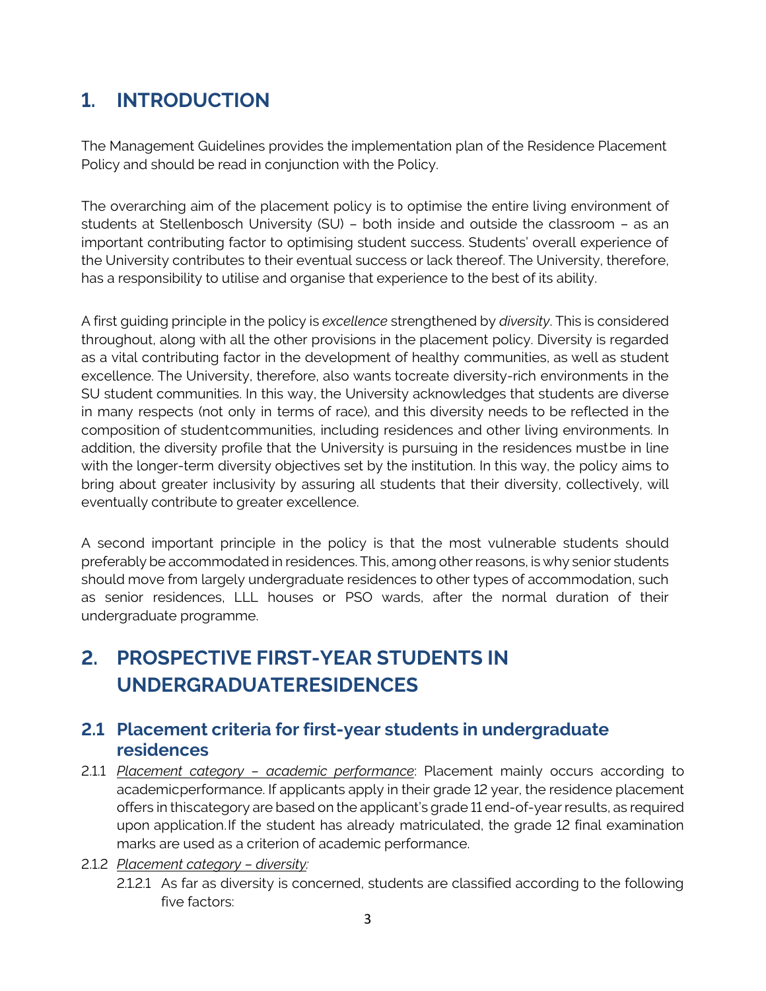# **1. INTRODUCTION**

The Management Guidelines provides the implementation plan of the Residence Placement Policy and should be read in conjunction with the Policy.

The overarching aim of the placement policy is to optimise the entire living environment of students at Stellenbosch University (SU) – both inside and outside the classroom – as an important contributing factor to optimising student success. Students' overall experience of the University contributes to their eventual success or lack thereof. The University, therefore, has a responsibility to utilise and organise that experience to the best of its ability.

A first guiding principle in the policy is *excellence* strengthened by *diversity*. This is considered throughout, along with all the other provisions in the placement policy. Diversity is regarded as a vital contributing factor in the development of healthy communities, as well as student excellence. The University, therefore, also wants tocreate diversity-rich environments in the SU student communities. In this way, the University acknowledges that students are diverse in many respects (not only in terms of race), and this diversity needs to be reflected in the composition of studentcommunities, including residences and other living environments. In addition, the diversity profile that the University is pursuing in the residences mustbe in line with the longer-term diversity objectives set by the institution. In this way, the policy aims to bring about greater inclusivity by assuring all students that their diversity, collectively, will eventually contribute to greater excellence.

A second important principle in the policy is that the most vulnerable students should preferably be accommodated in residences. This, among otherreasons, is why senior students should move from largely undergraduate residences to other types of accommodation, such as senior residences, LLL houses or PSO wards, after the normal duration of their undergraduate programme.

# **2. PROSPECTIVE FIRST-YEAR STUDENTS IN UNDERGRADUATERESIDENCES**

#### **2.1 Placement criteria for first-year students in undergraduate residences**

- 2.1.1 *Placement category – academic performance*: Placement mainly occurs according to academicperformance. If applicants apply in their grade 12 year, the residence placement offers in thiscategory are based on the applicant's grade 11 end-of-year results, as required upon application.If the student has already matriculated, the grade 12 final examination marks are used as a criterion of academic performance.
- 2.1.2 *Placement category – diversity:*
	- 2.1.2.1 As far as diversity is concerned, students are classified according to the following five factors: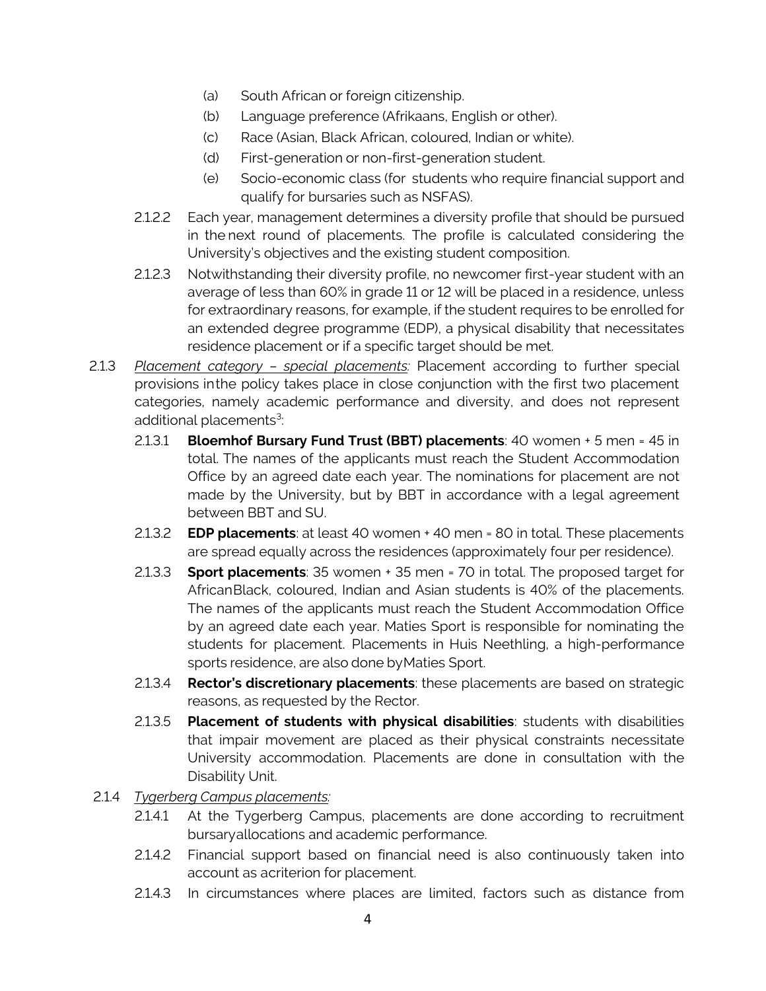- (a) South African or foreign citizenship.
- (b) Language preference (Afrikaans, English or other).
- (c) Race (Asian, Black African, coloured, Indian or white).
- (d) First-generation or non-first-generation student.
- (e) Socio-economic class (for students who require financial support and qualify for bursaries such as NSFAS).
- 2.1.2.2 Each year, management determines a diversity profile that should be pursued in the next round of placements. The profile is calculated considering the University's objectives and the existing student composition.
- 2.1.2.3 Notwithstanding their diversity profile, no newcomer first-year student with an average of less than 60% in grade 11 or 12 will be placed in a residence, unless for extraordinary reasons, for example, if the student requires to be enrolled for an extended degree programme (EDP), a physical disability that necessitates residence placement or if a specific target should be met.
- 2.1.3 *Placement category – special placements:* Placement according to further special provisions inthe policy takes place in close conjunction with the first two placement categories, namely academic performance and diversity, and does not represent additional placements<sup>3</sup>: :
	- 2.1.3.1 **Bloemhof Bursary Fund Trust (BBT) placements**: 40 women + 5 men = 45 in total. The names of the applicants must reach the Student Accommodation Office by an agreed date each year. The nominations for placement are not made by the University, but by BBT in accordance with a legal agreement between BBT and SU.
	- 2.1.3.2 **EDP placements**: at least 40 women + 40 men = 80 in total. These placements are spread equally across the residences (approximately four per residence).
	- 2.1.3.3 **Sport placements**: 35 women + 35 men = 70 in total. The proposed target for AfricanBlack, coloured, Indian and Asian students is 40% of the placements. The names of the applicants must reach the Student Accommodation Office by an agreed date each year. Maties Sport is responsible for nominating the students for placement. Placements in Huis Neethling, a high-performance sports residence, are also done byMaties Sport.
	- 2.1.3.4 **Rector's discretionary placements**: these placements are based on strategic reasons, as requested by the Rector.
	- 2.1.3.5 **Placement of students with physical disabilities**: students with disabilities that impair movement are placed as their physical constraints necessitate University accommodation. Placements are done in consultation with the Disability Unit.
- 2.1.4 *Tygerberg Campus placements:*
	- 2.1.4.1 At the Tygerberg Campus, placements are done according to recruitment bursaryallocations and academic performance.
	- 2.1.4.2 Financial support based on financial need is also continuously taken into account as acriterion for placement.
	- 2.1.4.3 In circumstances where places are limited, factors such as distance from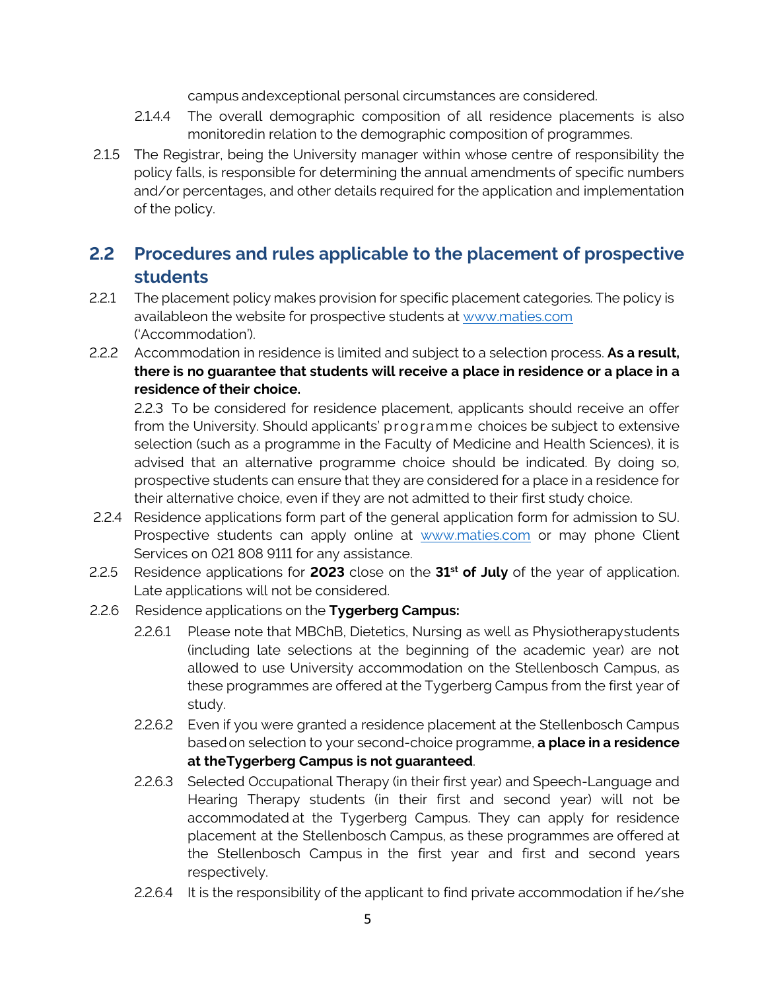campus andexceptional personal circumstances are considered.

- 2.1.4.4 The overall demographic composition of all residence placements is also monitoredin relation to the demographic composition of programmes.
- 2.1.5 The Registrar, being the University manager within whose centre of responsibility the policy falls, is responsible for determining the annual amendments of specific numbers and/or percentages, and other details required for the application and implementation of the policy.

## **2.2 Procedures and rules applicable to the placement of prospective students**

- 2.2.1 The placement policy makes provision for specific placement categories. The policy is availableon the website for prospective students at [www.maties.com](http://www.maties.com/) ('Accommodation').
- 2.2.2 Accommodation in residence is limited and subject to a selection process. **As a result, there is no guarantee that students will receive a place in residence or a place in a residence of their choice.**

2.2.3 To be considered for residence placement, applicants should receive an offer from the University. Should applicants' programme choices be subject to extensive selection (such as a programme in the Faculty of Medicine and Health Sciences), it is advised that an alternative programme choice should be indicated. By doing so, prospective students can ensure that they are considered for a place in a residence for their alternative choice, even if they are not admitted to their first study choice.

- 2.2.4 Residence applications form part of the general application form for admission to SU. Prospective students can apply online at [www.maties.com](http://www.maties.com/) or may phone Client Services on 021 808 9111 for any assistance.
- 2.2.5 Residence applications for **2023** close on the **31st of July** of the year of application. Late applications will not be considered.
- 2.2.6 Residence applications on the **Tygerberg Campus:**
	- 2.2.6.1 Please note that MBChB, Dietetics, Nursing as well as Physiotherapystudents (including late selections at the beginning of the academic year) are not allowed to use University accommodation on the Stellenbosch Campus, as these programmes are offered at the Tygerberg Campus from the first year of study.
	- 2.2.6.2 Even if you were granted a residence placement at the Stellenbosch Campus based on selection to your second-choice programme, **a place in a residence at theTygerberg Campus is not guaranteed**.
	- 2.2.6.3 Selected Occupational Therapy (in their first year) and Speech-Language and Hearing Therapy students (in their first and second year) will not be accommodated at the Tygerberg Campus. They can apply for residence placement at the Stellenbosch Campus, as these programmes are offered at the Stellenbosch Campus in the first year and first and second years respectively.
	- 2.2.6.4 It is the responsibility of the applicant to find private accommodation if he/she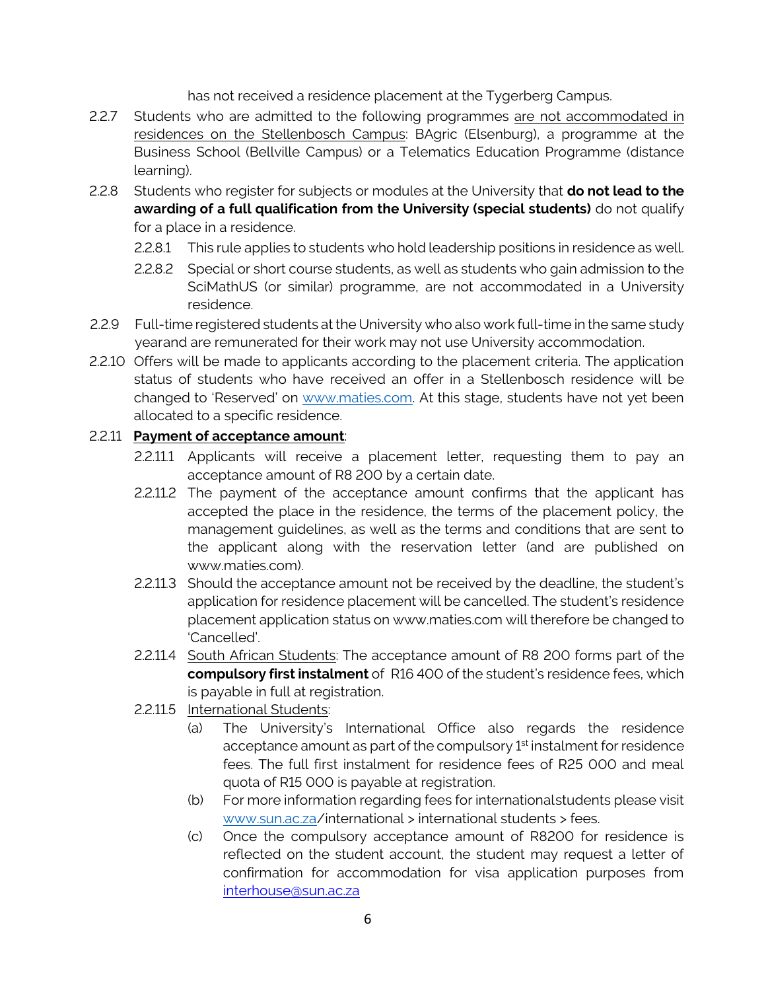has not received a residence placement at the Tygerberg Campus.

- 2.2.7 Students who are admitted to the following programmes are not accommodated in residences on the Stellenbosch Campus: BAgric (Elsenburg), a programme at the Business School (Bellville Campus) or a Telematics Education Programme (distance learning).
- 2.2.8 Students who register for subjects or modules at the University that **do not lead to the awarding of a full qualification from the University (special students)** do not qualify for a place in a residence.
	- 2.2.8.1 This rule applies to students who hold leadership positions in residence as well.
	- 2.2.8.2 Special or short course students, as well as students who gain admission to the SciMathUS (or similar) programme, are not accommodated in a University residence.
- 2.2.9 Full-time registered students at the University who also work full-time in the same study yearand are remunerated for their work may not use University accommodation.
- 2.2.10 Offers will be made to applicants according to the placement criteria. The application status of students who have received an offer in a Stellenbosch residence will be changed to 'Reserved' on [www.maties.com.](http://www.maties.com/) At this stage, students have not yet been allocated to a specific residence.

#### 2.2.11 **Payment of acceptance amount**:

- 2.2.11.1 Applicants will receive a placement letter, requesting them to pay an acceptance amount of R8 200 by a certain date.
- 2.2.11.2 The payment of the acceptance amount confirms that the applicant has accepted the place in the residence, the terms of the placement policy, the management guidelines, as well as the terms and conditions that are sent to the applicant along with the reservation letter (and are published on [www.maties.com\)](http://www.maties.com/).
- 2.2.11.3 Should the acceptance amount not be received by the deadline, the student's application for residence placement will be cancelled. The student's residence placement application status on [www.maties.com](http://www.maties.com/) will therefore be changed to 'Cancelled'.
- 2.2.11.4 South African Students: The acceptance amount of R8 200 forms part of the **compulsory first instalment** of R16 400 of the student's residence fees, which is payable in full at registration.
- 2.2.11.5 International Students:
	- (a) The University's International Office also regards the residence acceptance amount as part of the compulsory 1<sup>st</sup> instalment for residence fees. The full first instalment for residence fees of R25 000 and meal quota of R15 000 is payable at registration.
	- (b) For more information regarding fees for internationalstudents please visit www.sun.ac.za/international > international students > fees.
	- (c) Once the compulsory acceptance amount of R8200 for residence is reflected on the student account, the student may request a letter of confirmation for accommodation for visa application purposes from [interhouse@sun.ac.za](mailto:interhouse@sun.ac.za)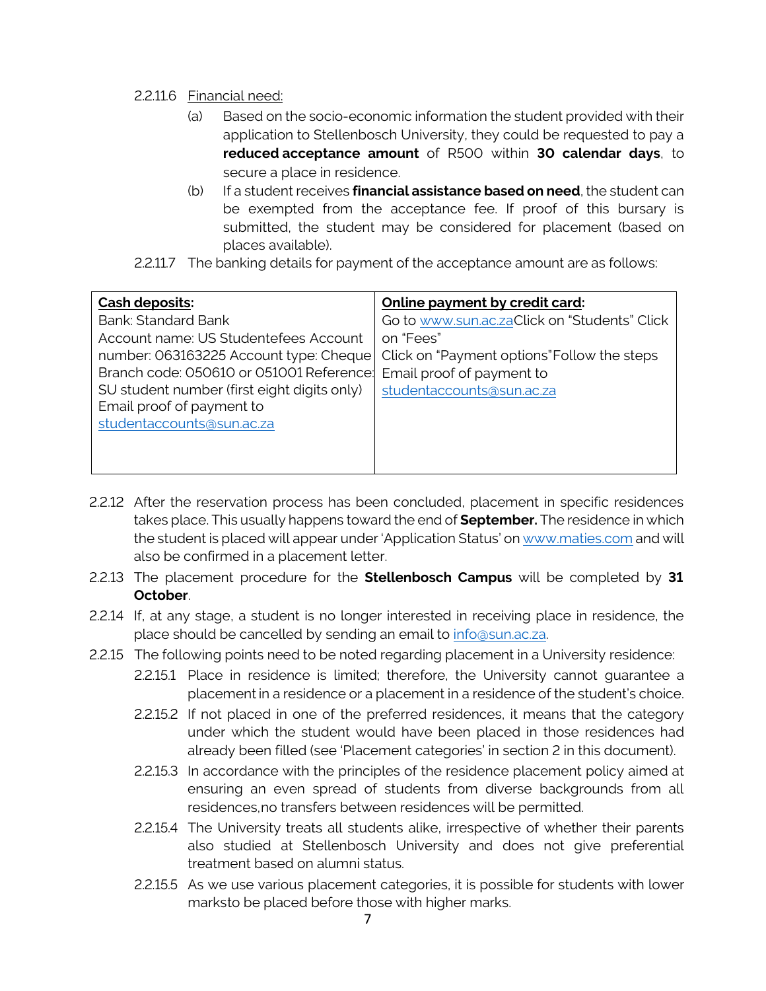#### 2.2.11.6 Financial need:

- (a) Based on the socio-economic information the student provided with their application to Stellenbosch University, they could be requested to pay a **reduced acceptance amount** of R500 within **30 calendar days**, to secure a place in residence.
- (b) If a student receives **financial assistance based on need**, the student can be exempted from the acceptance fee. If proof of this bursary is submitted, the student may be considered for placement (based on places available).
- 2.2.11.7 The banking details for payment of the acceptance amount are as follows:

| Cash deposits:                              | Online payment by credit card:               |
|---------------------------------------------|----------------------------------------------|
| Bank: Standard Bank                         | Go to www.sun.ac.zaClick on "Students" Click |
| Account name: US Studentefees Account       | on "Fees"                                    |
| number: 063163225 Account type: Cheque      | Click on "Payment options" Follow the steps  |
| Branch code: 050610 or 051001 Reference:    | Email proof of payment to                    |
| SU student number (first eight digits only) | studentaccounts@sun.ac.za                    |
| Email proof of payment to                   |                                              |
| studentaccounts@sun.ac.za                   |                                              |
|                                             |                                              |
|                                             |                                              |

- 2.2.12 After the reservation process has been concluded, placement in specific residences takes place. This usually happens toward the end of **September.** The residence in which the student is placed will appear under 'Application Status' on [www.maties.com](http://www.maties.com/) and will also be confirmed in a placement letter.
- 2.2.13 The placement procedure for the **Stellenbosch Campus** will be completed by **31 October**.
- 2.2.14 If, at any stage, a student is no longer interested in receiving place in residence, the place should be cancelled by sending an email to [info@sun.ac.za.](mailto:info@sun.ac.za)
- 2.2.15 The following points need to be noted regarding placement in a University residence:
	- 2.2.15.1 Place in residence is limited; therefore, the University cannot guarantee a placement in a residence or a placement in a residence of the student's choice.
	- 2.2.15.2 If not placed in one of the preferred residences, it means that the category under which the student would have been placed in those residences had already been filled (see 'Placement categories' in section 2 in this document).
	- 2.2.15.3 In accordance with the principles of the residence placement policy aimed at ensuring an even spread of students from diverse backgrounds from all residences,no transfers between residences will be permitted.
	- 2.2.15.4 The University treats all students alike, irrespective of whether their parents also studied at Stellenbosch University and does not give preferential treatment based on alumni status.
	- 2.2.15.5 As we use various placement categories, it is possible for students with lower marksto be placed before those with higher marks.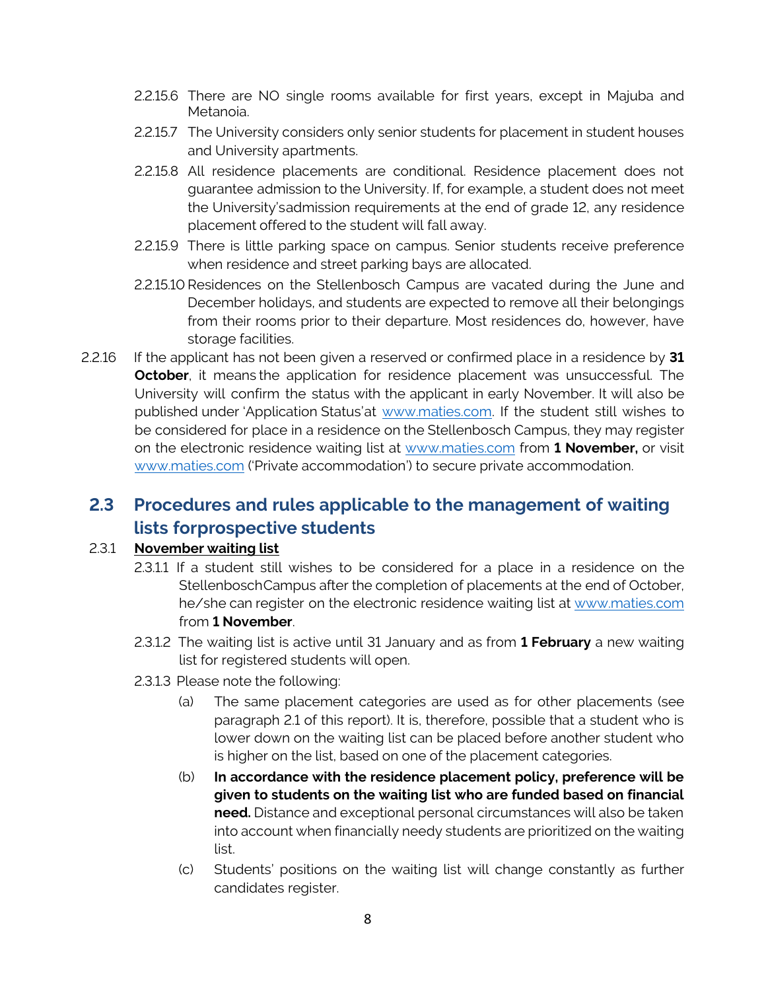- 2.2.15.6 There are NO single rooms available for first years, except in Majuba and Metanoia.
- 2.2.15.7 The University considers only senior students for placement in student houses and University apartments.
- 2.2.15.8 All residence placements are conditional. Residence placement does not guarantee admission to the University. If, for example, a student does not meet the University'sadmission requirements at the end of grade 12, any residence placement offered to the student will fall away.
- 2.2.15.9 There is little parking space on campus. Senior students receive preference when residence and street parking bays are allocated.
- 2.2.15.10 Residences on the Stellenbosch Campus are vacated during the June and December holidays, and students are expected to remove all their belongings from their rooms prior to their departure. Most residences do, however, have storage facilities.
- 2.2.16 If the applicant has not been given a reserved or confirmed place in a residence by **31 October**, it means the application for residence placement was unsuccessful. The University will confirm the status with the applicant in early November. It will also be published under 'Application Status'at [www.maties.com.](http://www.maties.com/) If the student still wishes to be considered for place in a residence on the Stellenbosch Campus, they may register on the electronic residence waiting list at [www.maties.com](http://www.maties.com/) from **1 November,** or visit [www.maties.com](http://www.maties.com/) ('Private accommodation') to secure private accommodation.

## **2.3 Procedures and rules applicable to the management of waiting lists forprospective students**

#### 2.3.1 **November waiting list**

- 2.3.1.1 If a student still wishes to be considered for a place in a residence on the StellenboschCampus after the completion of placements at the end of October, he/she can register on the electronic residence waiting list at [www.maties.com](http://www.maties.com/) from **1 November**.
- 2.3.1.2 The waiting list is active until 31 January and as from **1 February** a new waiting list for registered students will open.
- 2.3.1.3 Please note the following:
	- (a) The same placement categories are used as for other placements (see paragraph 2.1 of this report). It is, therefore, possible that a student who is lower down on the waiting list can be placed before another student who is higher on the list, based on one of the placement categories.
	- (b) **In accordance with the residence placement policy, preference will be given to students on the waiting list who are funded based on financial need.** Distance and exceptional personal circumstances will also be taken into account when financially needy students are prioritized on the waiting list.
	- (c) Students' positions on the waiting list will change constantly as further candidates register.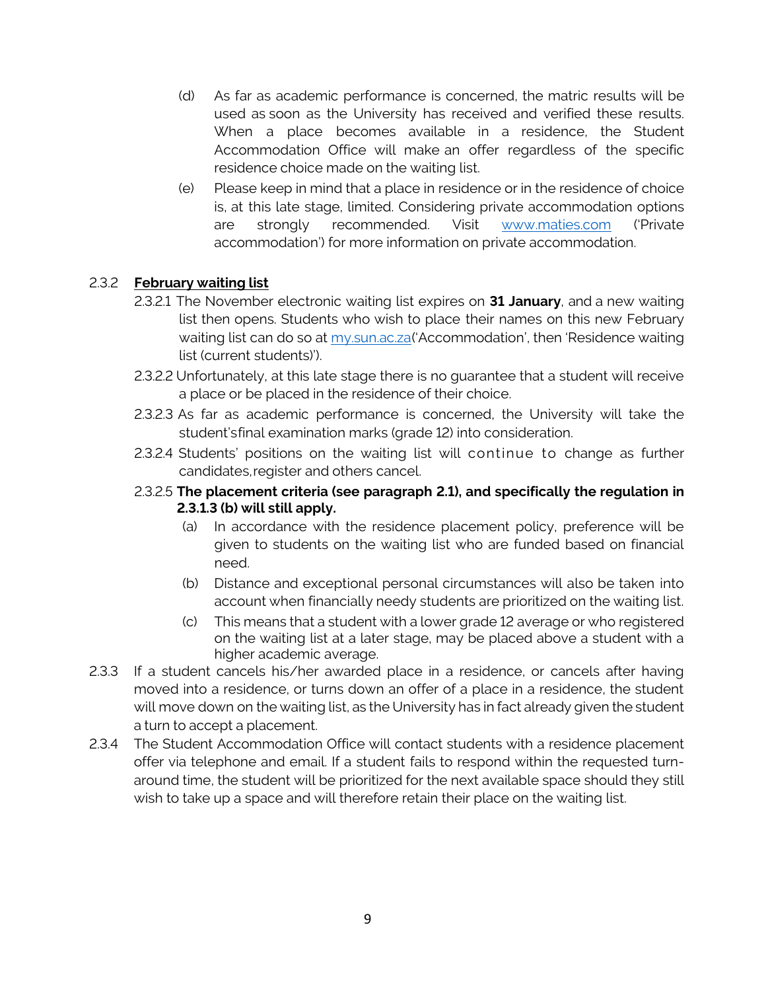- (d) As far as academic performance is concerned, the matric results will be used as soon as the University has received and verified these results. When a place becomes available in a residence, the Student Accommodation Office will make an offer regardless of the specific residence choice made on the waiting list.
- (e) Please keep in mind that a place in residence or in the residence of choice is, at this late stage, limited. Considering private accommodation options are strongly recommended. Vi[sit](http://www.stayatstellenbochuniversity.co.za/) [www.maties.com](http://www.maties.com/) ('Private accommodation') for more information on private accommodation.

#### 2.3.2 **February waiting list**

- 2.3.2.1 The November electronic waiting list expires on **31 January**, and a new waiting list then opens. Students who wish to place their names on this new February waiting list can do so at my.sun.ac.za('Accommodation', then 'Residence waiting list (current students)').
- 2.3.2.2 Unfortunately, at this late stage there is no guarantee that a student will receive a place or be placed in the residence of their choice.
- 2.3.2.3 As far as academic performance is concerned, the University will take the student'sfinal examination marks (grade 12) into consideration.
- 2.3.2.4 Students' positions on the waiting list will continue to change as further candidates,register and others cancel.
- 2.3.2.5 **The placement criteria (see paragraph 2.1), and specifically the regulation in 2.3.1.3 (b) will still apply.** 
	- (a) In accordance with the residence placement policy, preference will be given to students on the waiting list who are funded based on financial need.
	- (b) Distance and exceptional personal circumstances will also be taken into account when financially needy students are prioritized on the waiting list.
	- (c) This means that a student with a lower grade 12 average or who registered on the waiting list at a later stage, may be placed above a student with a higher academic average.
- 2.3.3 If a student cancels his/her awarded place in a residence, or cancels after having moved into a residence, or turns down an offer of a place in a residence, the student will move down on the waiting list, as the University has in fact already given the student a turn to accept a placement.
- 2.3.4 The Student Accommodation Office will contact students with a residence placement offer via telephone and email. If a student fails to respond within the requested turnaround time, the student will be prioritized for the next available space should they still wish to take up a space and will therefore retain their place on the waiting list.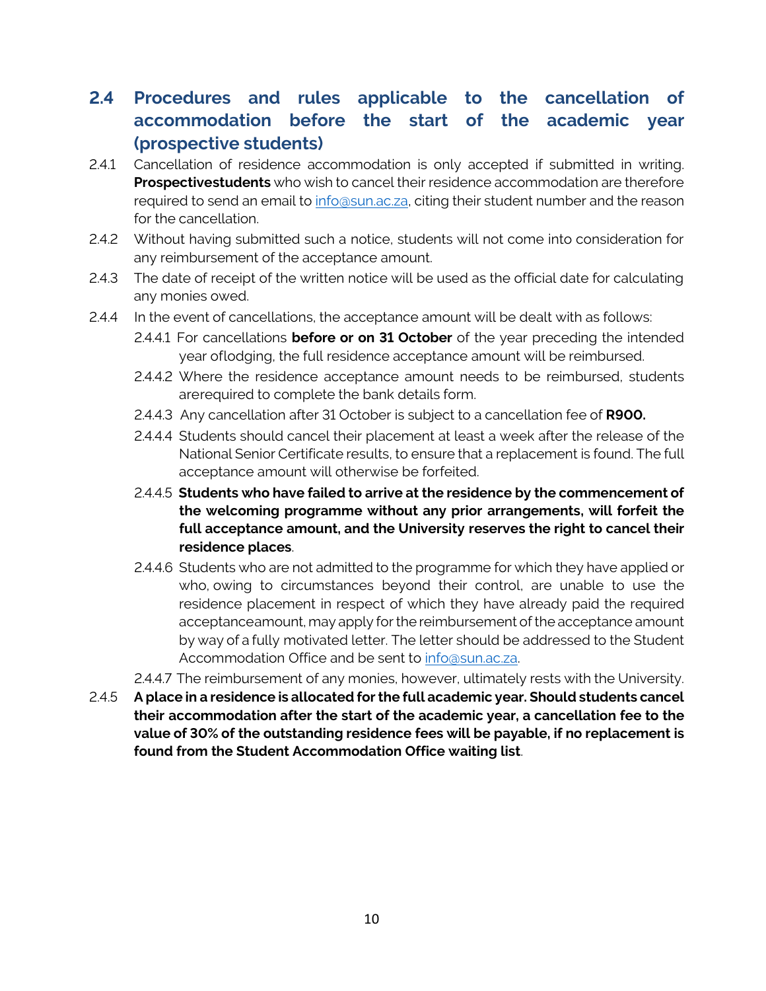## **2.4 Procedures and rules applicable to the cancellation of accommodation before the start of the academic year (prospective students)**

- 2.4.1 Cancellation of residence accommodation is only accepted if submitted in writing. **Prospectivestudents** who wish to cancel their residence accommodation are therefore required to send an email to [info@sun.ac.za,](mailto:info@sun.ac.za) citing their student number and the reason for the cancellation.
- 2.4.2 Without having submitted such a notice, students will not come into consideration for any reimbursement of the acceptance amount.
- 2.4.3 The date of receipt of the written notice will be used as the official date for calculating any monies owed.
- 2.4.4 In the event of cancellations, the acceptance amount will be dealt with as follows:
	- 2.4.4.1 For cancellations **before or on 31 October** of the year preceding the intended year oflodging, the full residence acceptance amount will be reimbursed.
	- 2.4.4.2 Where the residence acceptance amount needs to be reimbursed, students arerequired to complete the bank details form.
	- 2.4.4.3 Any cancellation after 31 October is subject to a cancellation fee of **R900.**
	- 2.4.4.4 Students should cancel their placement at least a week after the release of the National Senior Certificate results, to ensure that a replacement is found. The full acceptance amount will otherwise be forfeited.
	- 2.4.4.5 **Students who have failed to arrive at the residence by the commencement of the welcoming programme without any prior arrangements, will forfeit the full acceptance amount, and the University reserves the right to cancel their residence places**.
	- 2.4.4.6 Students who are not admitted to the programme for which they have applied or who, owing to circumstances beyond their control, are unable to use the residence placement in respect of which they have already paid the required acceptanceamount, may apply for the reimbursement of the acceptance amount by way of a fully motivated letter. The letter should be addressed to the Student Accommodation Office and be sent to [info@sun.ac.za.](mailto:info@sun.ac.za)
	- 2.4.4.7 The reimbursement of any monies, however, ultimately rests with the University.
- 2.4.5 **A place in a residence is allocated for the full academic year. Should students cancel their accommodation after the start of the academic year, a cancellation fee to the value of 30% of the outstanding residence fees will be payable, if no replacement is found from the Student Accommodation Office waiting list**.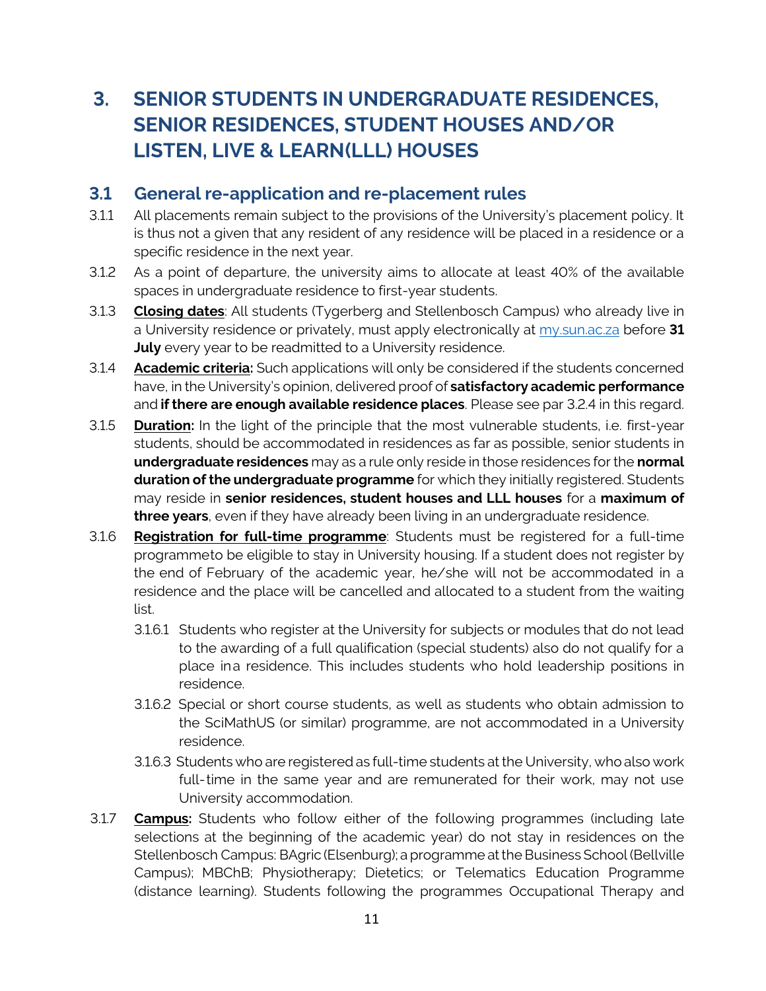# **3. SENIOR STUDENTS IN UNDERGRADUATE RESIDENCES, SENIOR RESIDENCES, STUDENT HOUSES AND/OR LISTEN, LIVE & LEARN(LLL) HOUSES**

#### **3.1 General re-application and re-placement rules**

- 3.1.1 All placements remain subject to the provisions of the University's placement policy. It is thus not a given that any resident of any residence will be placed in a residence or a specific residence in the next year.
- 3.1.2 As a point of departure, the university aims to allocate at least 40% of the available spaces in undergraduate residence to first-year students.
- 3.1.3 **Closing dates**: All students (Tygerberg and Stellenbosch Campus) who already live in a University residence or privately, must apply electronically at my.sun.ac.za before **31 July** every year to be readmitted to a University residence.
- 3.1.4 **Academic criteria:** Such applications will only be considered if the students concerned have, in the University's opinion, delivered proof of **satisfactory academic performance** and **if there are enough available residence places**. Please see par 3.2.4 in this regard.
- 3.1.5 **Duration:** In the light of the principle that the most vulnerable students, i.e. first-year students, should be accommodated in residences as far as possible, senior students in **undergraduate residences** may as a rule only reside in those residences for the **normal duration of the undergraduate programme** for which they initially registered. Students may reside in **senior residences, student houses and LLL houses** for a **maximum of three years**, even if they have already been living in an undergraduate residence.
- 3.1.6 **Registration for full-time programme**: Students must be registered for a full-time programmeto be eligible to stay in University housing. If a student does not register by the end of February of the academic year, he/she will not be accommodated in a residence and the place will be cancelled and allocated to a student from the waiting list.
	- 3.1.6.1 Students who register at the University for subjects or modules that do not lead to the awarding of a full qualification (special students) also do not qualify for a place ina residence. This includes students who hold leadership positions in residence.
	- 3.1.6.2 Special or short course students, as well as students who obtain admission to the SciMathUS (or similar) programme, are not accommodated in a University residence.
	- 3.1.6.3 Students who are registered as full-time students at the University, who also work full-time in the same year and are remunerated for their work, may not use University accommodation.
- 3.1.7 **Campus:** Students who follow either of the following programmes (including late selections at the beginning of the academic year) do not stay in residences on the Stellenbosch Campus: BAgric (Elsenburg); a programme at the Business School (Bellville Campus); MBChB; Physiotherapy; Dietetics; or Telematics Education Programme (distance learning). Students following the programmes Occupational Therapy and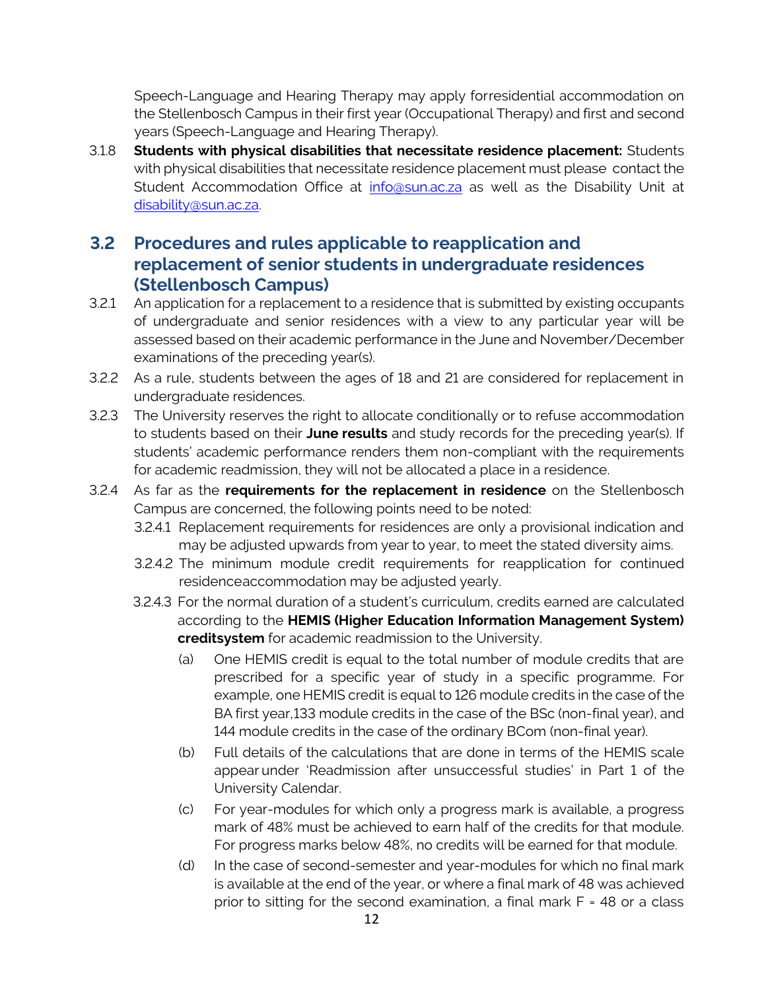Speech-Language and Hearing Therapy may apply forresidential accommodation on the Stellenbosch Campus in their first year (Occupational Therapy) and first and second years (Speech-Language and Hearing Therapy).

3.1.8 **Students with physical disabilities that necessitate residence placement:** Students with physical disabilities that necessitate residence placement must please contact the Student Accommodation Office at [info@sun.ac.za](mailto:info@sun.ac.za) as well as the Disability Unit at [disability@sun.ac.za.](mailto:disability@sun.ac.za)

## **3.2 Procedures and rules applicable to reapplication and replacement of senior students in undergraduate residences (Stellenbosch Campus)**

- 3.2.1 An application for a replacement to a residence that is submitted by existing occupants of undergraduate and senior residences with a view to any particular year will be assessed based on their academic performance in the June and November/December examinations of the preceding year(s).
- 3.2.2 As a rule, students between the ages of 18 and 21 are considered for replacement in undergraduate residences.
- 3.2.3 The University reserves the right to allocate conditionally or to refuse accommodation to students based on their **June results** and study records for the preceding year(s). If students' academic performance renders them non-compliant with the requirements for academic readmission, they will not be allocated a place in a residence.
- 3.2.4 As far as the **requirements for the replacement in residence** on the Stellenbosch Campus are concerned, the following points need to be noted:
	- 3.2.4.1 Replacement requirements for residences are only a provisional indication and may be adjusted upwards from year to year, to meet the stated diversity aims.
	- 3.2.4.2 The minimum module credit requirements for reapplication for continued residenceaccommodation may be adjusted yearly.
	- 3.2.4.3 For the normal duration of a student's curriculum, credits earned are calculated according to the **HEMIS (Higher Education Information Management System) creditsystem** for academic readmission to the University.
		- (a) One HEMIS credit is equal to the total number of module credits that are prescribed for a specific year of study in a specific programme. For example, one HEMIS credit is equal to 126 module credits in the case of the BA first year,133 module credits in the case of the BSc (non-final year), and 144 module credits in the case of the ordinary BCom (non-final year).
		- (b) Full details of the calculations that are done in terms of the HEMIS scale appear under 'Readmission after unsuccessful studies' in Part 1 of the University Calendar.
		- (c) For year-modules for which only a progress mark is available, a progress mark of 48% must be achieved to earn half of the credits for that module. For progress marks below 48%, no credits will be earned for that module.
		- (d) In the case of second-semester and year-modules for which no final mark is available at the end of the year, or where a final mark of 48 was achieved prior to sitting for the second examination, a final mark F = 48 or a class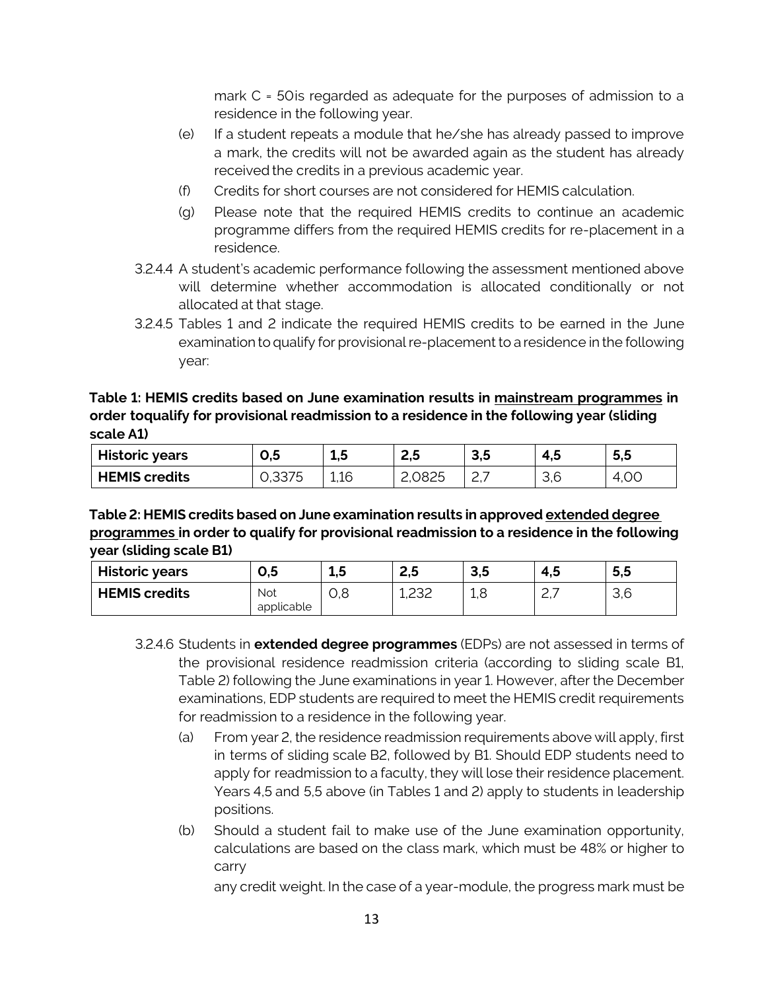mark C = 50is regarded as adequate for the purposes of admission to a residence in the following year.

- (e) If a student repeats a module that he/she has already passed to improve a mark, the credits will not be awarded again as the student has already received the credits in a previous academic year.
- (f) Credits for short courses are not considered for HEMIS calculation.
- (g) Please note that the required HEMIS credits to continue an academic programme differs from the required HEMIS credits for re-placement in a residence.
- 3.2.4.4 A student's academic performance following the assessment mentioned above will determine whether accommodation is allocated conditionally or not allocated at that stage.
- 3.2.4.5 Tables 1 and 2 indicate the required HEMIS credits to be earned in the June examination to qualify for provisional re-placement to a residence in the following year:

#### **Table 1: HEMIS credits based on June examination results in mainstream programmes in order toqualify for provisional readmission to a residence in the following year (sliding scale A1)**

| <b>Historic years</b> | υ,5             | ∸.J  | ت, ع   | .<br>J,J | 7. J                 | - -<br>5,5 |
|-----------------------|-----------------|------|--------|----------|----------------------|------------|
| <b>HEMIS credits</b>  | つつフト<br>∪,∪∪∕ ∪ | 1,16 | 2,0825 | $ -$     | $\sim$ $\sim$<br>U,U | 1.OC<br>≄  |

#### **Table 2: HEMIS credits based on June examination results in approved extended degree programmes in order to qualify for provisional readmission to a residence in the following year (sliding scale B1)**

| <b>Historic years</b> | c,v                      | ---      | <u>_</u><br>-<br> | <u>ິດ F</u><br>J.J | 4.5         | ວ,ວ               |
|-----------------------|--------------------------|----------|-------------------|--------------------|-------------|-------------------|
| <b>HEMIS credits</b>  | <b>Not</b><br>applicable | ⊊<br>U.U | $\cap$<br>エエコニ    | ∸∼                 | <u>.</u> ,, | <u>ാ ഭ</u><br>しぃし |

- 3.2.4.6 Students in **extended degree programmes** (EDPs) are not assessed in terms of the provisional residence readmission criteria (according to sliding scale B1, Table 2) following the June examinations in year 1. However, after the December examinations, EDP students are required to meet the HEMIS credit requirements for readmission to a residence in the following year.
	- (a) From year 2, the residence readmission requirements above will apply, first in terms of sliding scale B2, followed by B1. Should EDP students need to apply for readmission to a faculty, they will lose their residence placement. Years 4,5 and 5,5 above (in Tables 1 and 2) apply to students in leadership positions.
	- (b) Should a student fail to make use of the June examination opportunity, calculations are based on the class mark, which must be 48% or higher to carry

any credit weight. In the case of a year-module, the progress mark must be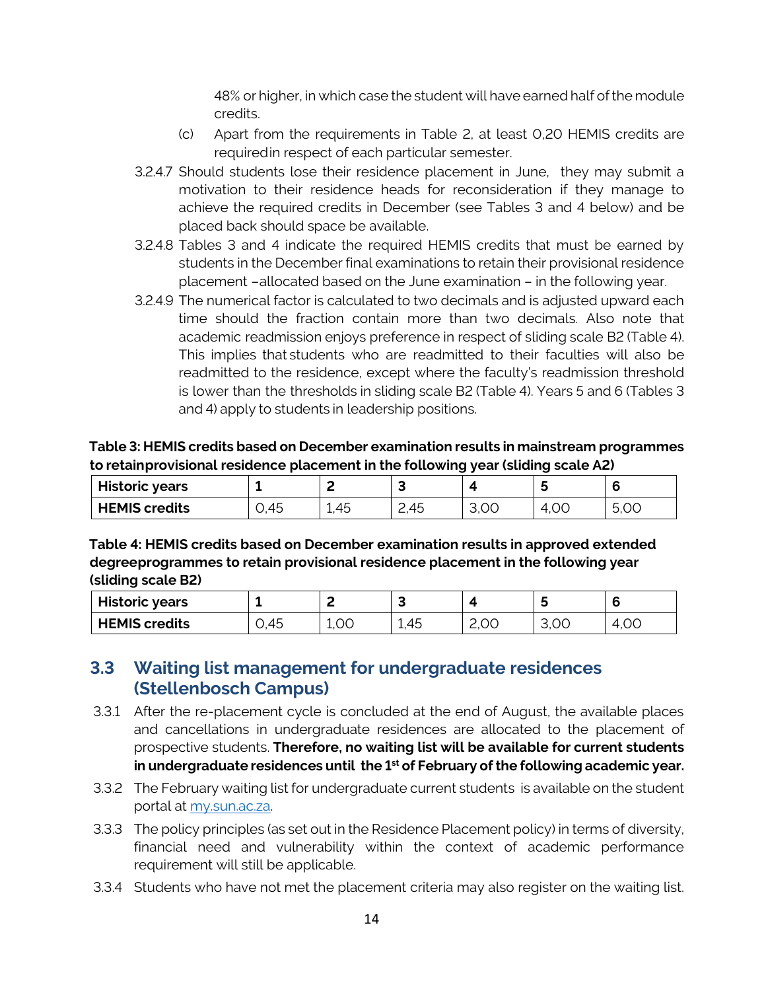48% or higher, in which case the student will have earned half ofthe module credits.

- (c) Apart from the requirements in Table 2, at least 0,20 HEMIS credits are requiredin respect of each particular semester.
- 3.2.4.7 Should students lose their residence placement in June, they may submit a motivation to their residence heads for reconsideration if they manage to achieve the required credits in December (see Tables 3 and 4 below) and be placed back should space be available.
- 3.2.4.8 Tables 3 and 4 indicate the required HEMIS credits that must be earned by students in the December final examinations to retain their provisional residence placement –allocated based on the June examination – in the following year.
- 3.2.4.9 The numerical factor is calculated to two decimals and is adjusted upward each time should the fraction contain more than two decimals. Also note that academic readmission enjoys preference in respect of sliding scale B2 (Table 4). This implies that students who are readmitted to their faculties will also be readmitted to the residence, except where the faculty's readmission threshold is lower than the thresholds in sliding scale B2 (Table 4). Years 5 and 6 (Tables 3 and 4) apply to students in leadership positions.

#### **Table 3: HEMIS credits based on December examination results in mainstream programmes to retainprovisional residence placement in the following year (sliding scale A2)**

| <b>Historic years</b> |              | -                                   |            |      |             |           |
|-----------------------|--------------|-------------------------------------|------------|------|-------------|-----------|
| <b>HEMIS credits</b>  | 45<br>$\sim$ | $\Delta$ $\Gamma$<br>45<br><b>.</b> | 45<br>∠, ⊤ | u.vv | ↵<br>7, V V | 5,UU<br>∽ |

**Table 4: HEMIS credits based on December examination results in approved extended degreeprogrammes to retain provisional residence placement in the following year (sliding scale B2)**

| <b>Historic years</b> |      | -    |                 |      |      |           |
|-----------------------|------|------|-----------------|------|------|-----------|
| <b>HEMIS credits</b>  | 0,45 | 1.00 | ,45<br><u>.</u> | 2,00 | 3,00 | 4,00<br>↵ |

## **3.3 Waiting list management for undergraduate residences (Stellenbosch Campus)**

- 3.3.1 After the re-placement cycle is concluded at the end of August, the available places and cancellations in undergraduate residences are allocated to the placement of prospective students. **Therefore, no waiting list will be available for current students in undergraduate residences until the 1st of February of the following academic year.**
- 3.3.2 The February waiting list for undergraduate current students is available on the student portal at my.sun.ac.za.
- 3.3.3 The policy principles (as set out in the Residence Placement policy) in terms of diversity, financial need and vulnerability within the context of academic performance requirement will still be applicable.
- 3.3.4 Students who have not met the placement criteria may also register on the waiting list.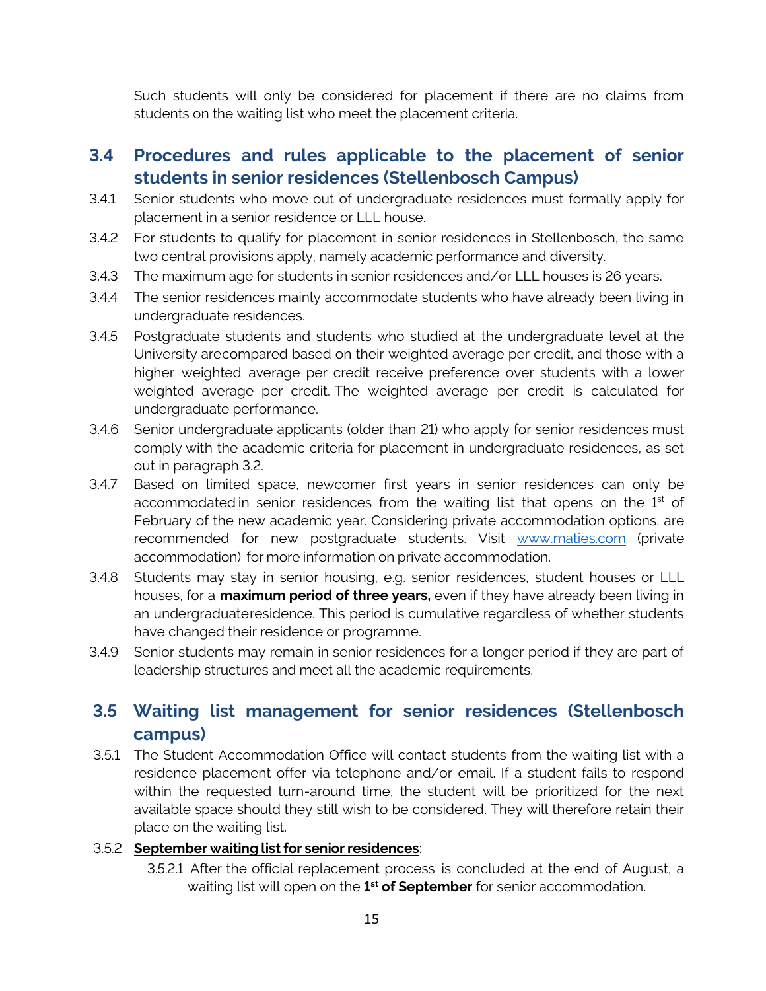Such students will only be considered for placement if there are no claims from students on the waiting list who meet the placement criteria.

#### **3.4 Procedures and rules applicable to the placement of senior students in senior residences (Stellenbosch Campus)**

- 3.4.1 Senior students who move out of undergraduate residences must formally apply for placement in a senior residence or LLL house.
- 3.4.2 For students to qualify for placement in senior residences in Stellenbosch, the same two central provisions apply, namely academic performance and diversity.
- 3.4.3 The maximum age for students in senior residences and/or LLL houses is 26 years.
- 3.4.4 The senior residences mainly accommodate students who have already been living in undergraduate residences.
- 3.4.5 Postgraduate students and students who studied at the undergraduate level at the University arecompared based on their weighted average per credit, and those with a higher weighted average per credit receive preference over students with a lower weighted average per credit. The weighted average per credit is calculated for undergraduate performance.
- 3.4.6 Senior undergraduate applicants (older than 21) who apply for senior residences must comply with the academic criteria for placement in undergraduate residences, as set out in paragraph 3.2.
- 3.4.7 Based on limited space, newcomer first years in senior residences can only be accommodated in senior residences from the waiting list that opens on the 1<sup>st</sup> of February of the new academic year. Considering private accommodation options, are recommended for new postgraduate students. Visit [www.maties.com](http://www.maties.com/) (private accommodation) for more information on private accommodation.
- 3.4.8 Students may stay in senior housing, e.g. senior residences, student houses or LLL houses, for a **maximum period of three years,** even if they have already been living in an undergraduateresidence. This period is cumulative regardless of whether students have changed their residence or programme.
- 3.4.9 Senior students may remain in senior residences for a longer period if they are part of leadership structures and meet all the academic requirements.

## **3.5 Waiting list management for senior residences (Stellenbosch campus)**

3.5.1 The Student Accommodation Office will contact students from the waiting list with a residence placement offer via telephone and/or email. If a student fails to respond within the requested turn-around time, the student will be prioritized for the next available space should they still wish to be considered. They will therefore retain their place on the waiting list.

#### 3.5.2 **September waiting listfor seniorresidences**:

3.5.2.1 After the official replacement process is concluded at the end of August, a waiting list will open on the **1 st of September** for senior accommodation.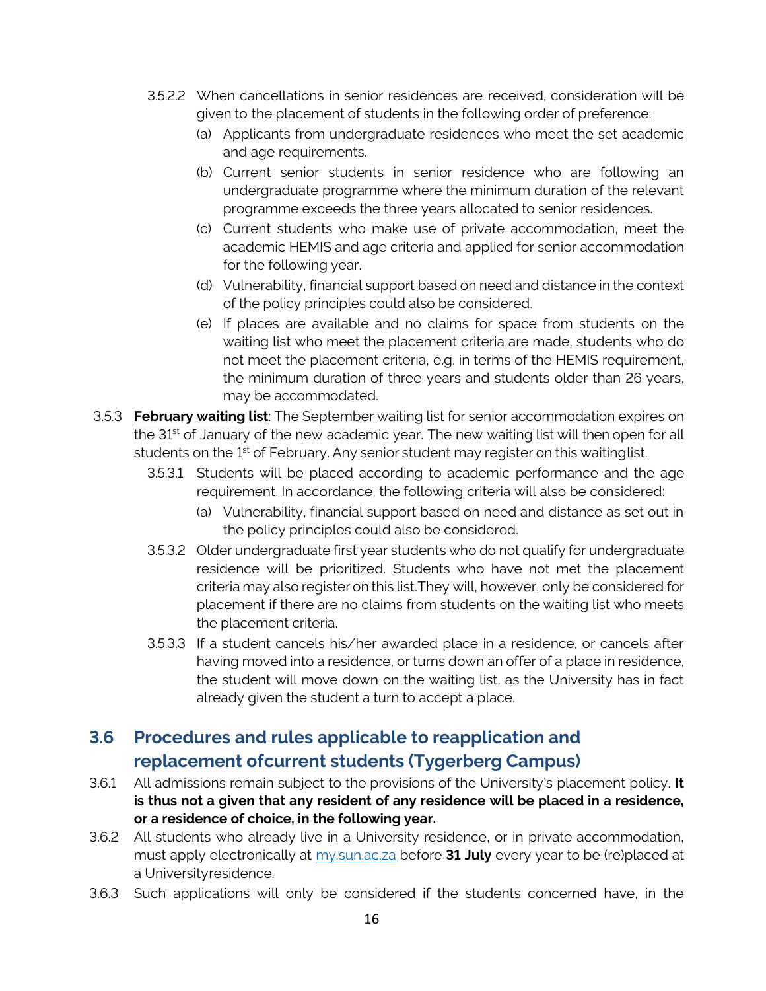- 3.5.2.2 When cancellations in senior residences are received, consideration will be given to the placement of students in the following order of preference:
	- (a) Applicants from undergraduate residences who meet the set academic and age requirements.
	- (b) Current senior students in senior residence who are following an undergraduate programme where the minimum duration of the relevant programme exceeds the three years allocated to senior residences.
	- (c) Current students who make use of private accommodation, meet the academic HEMIS and age criteria and applied for senior accommodation for the following year.
	- (d) Vulnerability, financial support based on need and distance in the context of the policy principles could also be considered.
	- (e) If places are available and no claims for space from students on the waiting list who meet the placement criteria are made, students who do not meet the placement criteria, e.g. in terms of the HEMIS requirement, the minimum duration of three years and students older than 26 years, may be accommodated.
- 3.5.3 **February waiting list**: The September waiting list for senior accommodation expires on the 31<sup>st</sup> of January of the new academic year. The new waiting list will then open for all students on the 1<sup>st</sup> of February. Any senior student may register on this waitinglist.
	- 3.5.3.1 Students will be placed according to academic performance and the age requirement. In accordance, the following criteria will also be considered:
		- (a) Vulnerability, financial support based on need and distance as set out in the policy principles could also be considered.
	- 3.5.3.2 Older undergraduate first year students who do not qualify for undergraduate residence will be prioritized. Students who have not met the placement criteria may also register on this list.They will, however, only be considered for placement if there are no claims from students on the waiting list who meets the placement criteria.
	- 3.5.3.3 If a student cancels his/her awarded place in a residence, or cancels after having moved into a residence, or turns down an offer of a place in residence, the student will move down on the waiting list, as the University has in fact already given the student a turn to accept a place.

## **3.6 Procedures and rules applicable to reapplication and replacement ofcurrent students (Tygerberg Campus)**

- 3.6.1 All admissions remain subject to the provisions of the University's placement policy. **It is thus not a given that any resident of any residence will be placed in a residence, or a residence of choice, in the following year.**
- 3.6.2 All students who already live in a University residence, or in private accommodation, must apply electronically at my.sun.ac.za before **31 July** every year to be (re)placed at a Universityresidence.
- 3.6.3 Such applications will only be considered if the students concerned have, in the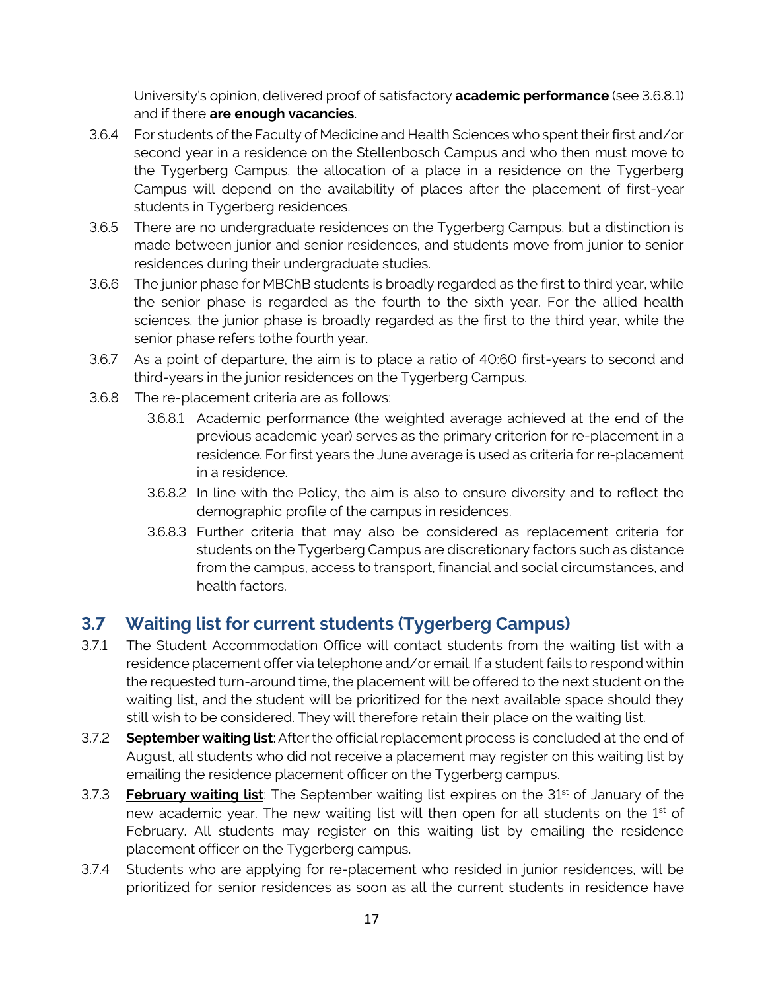University's opinion, delivered proof of satisfactory **academic performance** (see 3.6.8.1) and if there **are enough vacancies**.

- 3.6.4 For students of the Faculty of Medicine and Health Sciences who spent their first and/or second year in a residence on the Stellenbosch Campus and who then must move to the Tygerberg Campus, the allocation of a place in a residence on the Tygerberg Campus will depend on the availability of places after the placement of first-year students in Tygerberg residences.
- 3.6.5 There are no undergraduate residences on the Tygerberg Campus, but a distinction is made between junior and senior residences, and students move from junior to senior residences during their undergraduate studies.
- 3.6.6 The junior phase for MBChB students is broadly regarded as the first to third year, while the senior phase is regarded as the fourth to the sixth year. For the allied health sciences, the junior phase is broadly regarded as the first to the third year, while the senior phase refers tothe fourth year.
- 3.6.7 As a point of departure, the aim is to place a ratio of 40:60 first-years to second and third-years in the junior residences on the Tygerberg Campus.
- 3.6.8 The re-placement criteria are as follows:
	- 3.6.8.1 Academic performance (the weighted average achieved at the end of the previous academic year) serves as the primary criterion for re-placement in a residence. For first years the June average is used as criteria for re-placement in a residence.
	- 3.6.8.2 In line with the Policy, the aim is also to ensure diversity and to reflect the demographic profile of the campus in residences.
	- 3.6.8.3 Further criteria that may also be considered as replacement criteria for students on the Tygerberg Campus are discretionary factors such as distance from the campus, access to transport, financial and social circumstances, and health factors.

## **3.7 Waiting list for current students (Tygerberg Campus)**

- 3.7.1 The Student Accommodation Office will contact students from the waiting list with a residence placement offer via telephone and/or email. If a student fails to respond within the requested turn-around time, the placement will be offered to the next student on the waiting list, and the student will be prioritized for the next available space should they still wish to be considered. They will therefore retain their place on the waiting list.
- 3.7.2 **September waiting list**: After the official replacement process is concluded at the end of August, all students who did not receive a placement may register on this waiting list by emailing the residence placement officer on the Tygerberg campus.
- 3.7.3 **February waiting list**: The September waiting list expires on the 31st of January of the new academic year. The new waiting list will then open for all students on the 1<sup>st</sup> of February. All students may register on this waiting list by emailing the residence placement officer on the Tygerberg campus.
- 3.7.4 Students who are applying for re-placement who resided in junior residences, will be prioritized for senior residences as soon as all the current students in residence have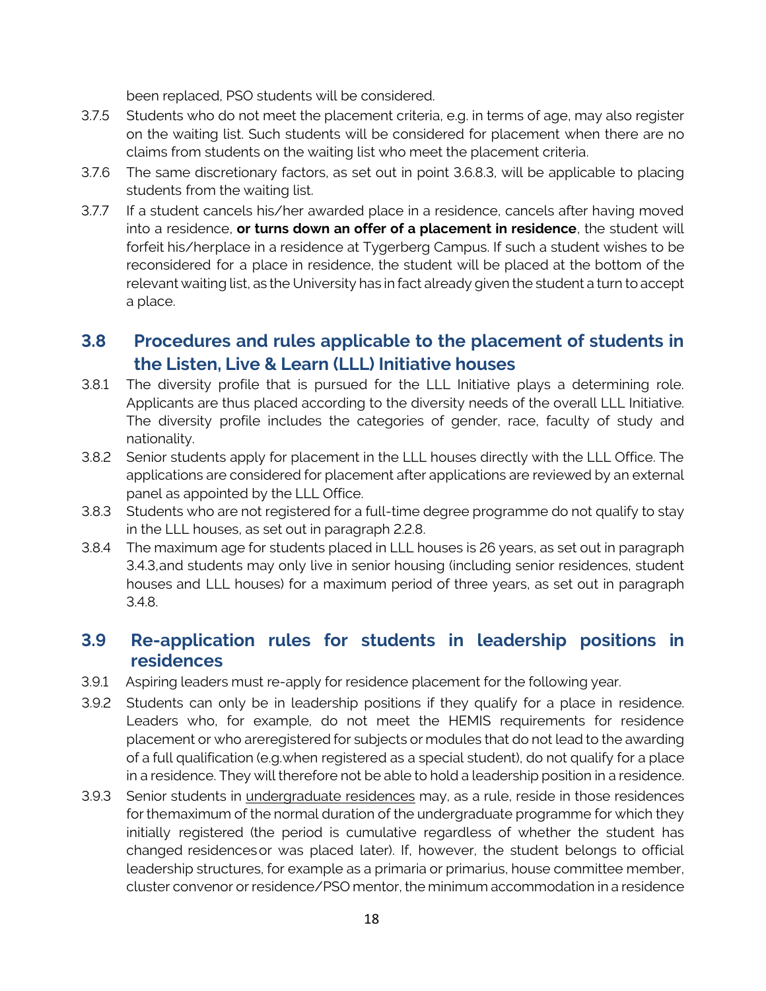been replaced, PSO students will be considered.

- 3.7.5 Students who do not meet the placement criteria, e.g. in terms of age, may also register on the waiting list. Such students will be considered for placement when there are no claims from students on the waiting list who meet the placement criteria.
- 3.7.6 The same discretionary factors, as set out in point 3.6.8.3, will be applicable to placing students from the waiting list.
- 3.7.7 If a student cancels his/her awarded place in a residence, cancels after having moved into a residence, **or turns down an offer of a placement in residence**, the student will forfeit his/herplace in a residence at Tygerberg Campus. If such a student wishes to be reconsidered for a place in residence, the student will be placed at the bottom of the relevant waiting list, as the University has in fact already given the student a turn to accept a place.

## **3.8 Procedures and rules applicable to the placement of students in the Listen, Live & Learn (LLL) Initiative houses**

- 3.8.1 The diversity profile that is pursued for the LLL Initiative plays a determining role. Applicants are thus placed according to the diversity needs of the overall LLL Initiative. The diversity profile includes the categories of gender, race, faculty of study and nationality.
- 3.8.2 Senior students apply for placement in the LLL houses directly with the LLL Office. The applications are considered for placement after applications are reviewed by an external panel as appointed by the LLL Office.
- 3.8.3 Students who are not registered for a full-time degree programme do not qualify to stay in the LLL houses, as set out in paragraph 2.2.8.
- 3.8.4 The maximum age for students placed in LLL houses is 26 years, as set out in paragraph 3.4.3,and students may only live in senior housing (including senior residences, student houses and LLL houses) for a maximum period of three years, as set out in paragraph 3.4.8.

#### **3.9 Re-application rules for students in leadership positions in residences**

- 3.9.1 Aspiring leaders must re-apply for residence placement for the following year.
- 3.9.2 Students can only be in leadership positions if they qualify for a place in residence. Leaders who, for example, do not meet the HEMIS requirements for residence placement or who areregistered for subjects or modules that do not lead to the awarding of a full qualification (e.g.when registered as a special student), do not qualify for a place in a residence. They will therefore not be able to hold a leadership position in a residence.
- 3.9.3 Senior students in *undergraduate residences* may, as a rule, reside in those residences for themaximum of the normal duration of the undergraduate programme for which they initially registered (the period is cumulative regardless of whether the student has changed residencesor was placed later). If, however, the student belongs to official leadership structures, for example as a primaria or primarius, house committee member, cluster convenor or residence/PSO mentor, the minimum accommodation in a residence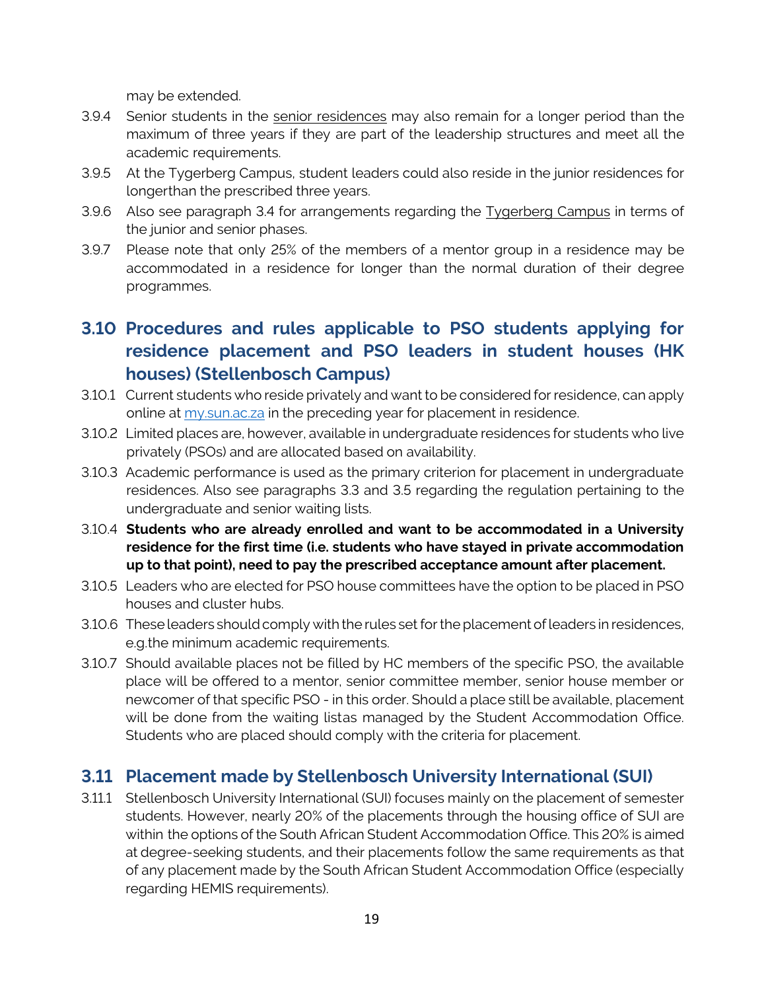may be extended.

- 3.9.4 Senior students in the senior residences may also remain for a longer period than the maximum of three years if they are part of the leadership structures and meet all the academic requirements.
- 3.9.5 At the Tygerberg Campus, student leaders could also reside in the junior residences for longerthan the prescribed three years.
- 3.9.6 Also see paragraph 3.4 for arrangements regarding the **Tygerberg Campus** in terms of the junior and senior phases.
- 3.9.7 Please note that only 25% of the members of a mentor group in a residence may be accommodated in a residence for longer than the normal duration of their degree programmes.

## **3.10 Procedures and rules applicable to PSO students applying for residence placement and PSO leaders in student houses (HK houses) (Stellenbosch Campus)**

- 3.10.1 Current students who reside privately and want to be considered for residence, can apply online at my sun ac.za in the preceding year for placement in residence.
- 3.10.2 Limited places are, however, available in undergraduate residences for students who live privately (PSOs) and are allocated based on availability.
- 3.10.3 Academic performance is used as the primary criterion for placement in undergraduate residences. Also see paragraphs 3.3 and 3.5 regarding the regulation pertaining to the undergraduate and senior waiting lists.
- 3.10.4 **Students who are already enrolled and want to be accommodated in a University residence for the first time (i.e. students who have stayed in private accommodation up to that point), need to pay the prescribed acceptance amount after placement.**
- 3.10.5 Leaders who are elected for PSO house committees have the option to be placed in PSO houses and cluster hubs.
- 3.10.6 These leaders should comply with the rules set for the placement of leaders in residences, e.g.the minimum academic requirements.
- 3.10.7 Should available places not be filled by HC members of the specific PSO, the available place will be offered to a mentor, senior committee member, senior house member or newcomer of that specific PSO - in this order. Should a place still be available, placement will be done from the waiting listas managed by the Student Accommodation Office. Students who are placed should comply with the criteria for placement.

#### **3.11 Placement made by Stellenbosch University International (SUI)**

3.11.1 Stellenbosch University International (SUI) focuses mainly on the placement of semester students. However, nearly 20% of the placements through the housing office of SUI are within the options of the South African Student Accommodation Office. This 20% is aimed at degree-seeking students, and their placements follow the same requirements as that of any placement made by the South African Student Accommodation Office (especially regarding HEMIS requirements).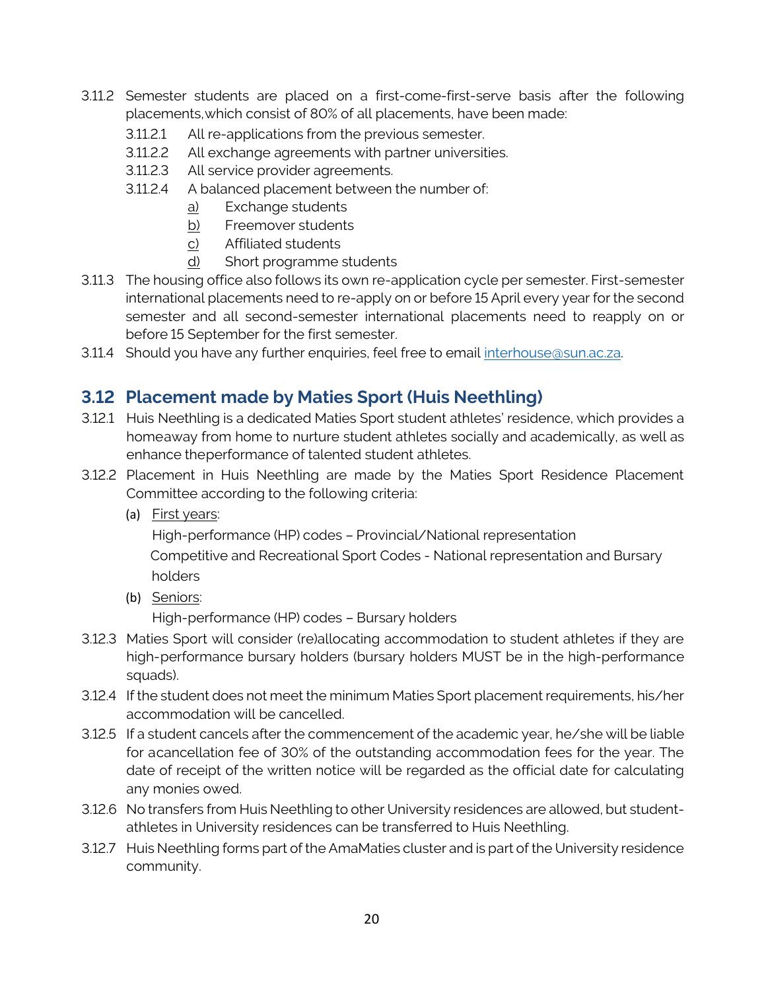- 3.11.2 Semester students are placed on a first-come-first-serve basis after the following placements,which consist of 80% of all placements, have been made:
	- 3.11.2.1 All re-applications from the previous semester.
	- 3.11.2.2 All exchange agreements with partner universities.
	- 3.11.2.3 All service provider agreements.
	- 3.11.2.4 A balanced placement between the number of:
		- a) Exchange students
		- b) Freemover students
		- c) Affiliated students
		- d) Short programme students
- 3.11.3 The housing office also follows its own re-application cycle per semester. First-semester international placements need to re-apply on or before 15 April every year for the second semester and all second-semester international placements need to reapply on or before 15 September for the first semester.
- 3.11.4 Should you have any further enquiries, feel free to email [interhouse@sun.ac.za.](mailto:interhouse@sun.ac.za)

## **3.12 Placement made by Maties Sport (Huis Neethling)**

- 3.12.1 Huis Neethling is a dedicated Maties Sport student athletes' residence, which provides a homeaway from home to nurture student athletes socially and academically, as well as enhance theperformance of talented student athletes.
- 3.12.2 Placement in Huis Neethling are made by the Maties Sport Residence Placement Committee according to the following criteria:
	- (a) First years:

High-performance (HP) codes – Provincial/National representation

 Competitive and Recreational Sport Codes - National representation and Bursary holders

(b) Seniors:

High-performance (HP) codes – Bursary holders

- 3.12.3 Maties Sport will consider (re)allocating accommodation to student athletes if they are high-performance bursary holders (bursary holders MUST be in the high-performance squads).
- 3.12.4 If the student does not meet the minimum Maties Sport placement requirements, his/her accommodation will be cancelled.
- 3.12.5 If a student cancels after the commencement of the academic year, he/she will be liable for acancellation fee of 30% of the outstanding accommodation fees for the year. The date of receipt of the written notice will be regarded as the official date for calculating any monies owed.
- 3.12.6 No transfers from Huis Neethling to other University residences are allowed, but studentathletes in University residences can be transferred to Huis Neethling.
- 3.12.7 Huis Neethling forms part of the AmaMaties cluster and is part of the University residence community.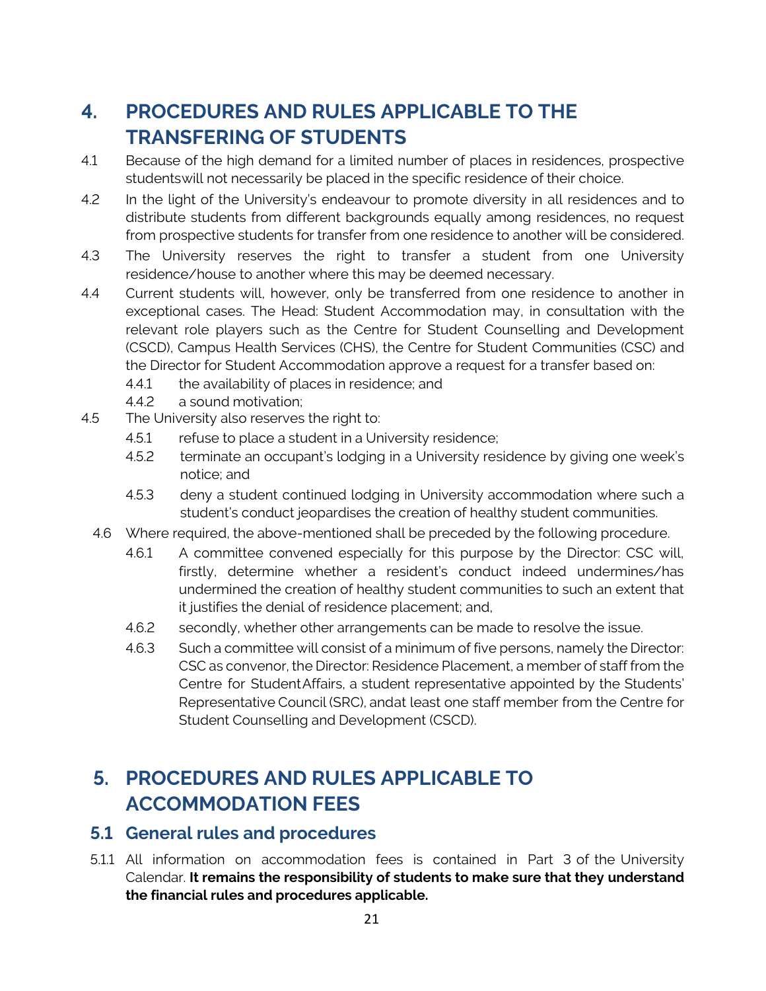# **4. PROCEDURES AND RULES APPLICABLE TO THE TRANSFERING OF STUDENTS**

- 4.1 Because of the high demand for a limited number of places in residences, prospective studentswill not necessarily be placed in the specific residence of their choice.
- 4.2 In the light of the University's endeavour to promote diversity in all residences and to distribute students from different backgrounds equally among residences, no request from prospective students for transfer from one residence to another will be considered.
- 4.3 The University reserves the right to transfer a student from one University residence/house to another where this may be deemed necessary.
- 4.4 Current students will, however, only be transferred from one residence to another in exceptional cases. The Head: Student Accommodation may, in consultation with the relevant role players such as the Centre for Student Counselling and Development (CSCD), Campus Health Services (CHS), the Centre for Student Communities (CSC) and the Director for Student Accommodation approve a request for a transfer based on:
	- 4.4.1 the availability of places in residence; and
	- 4.4.2 a sound motivation;
- 4.5 The University also reserves the right to:
	- 4.5.1 refuse to place a student in a University residence;
	- 4.5.2 terminate an occupant's lodging in a University residence by giving one week's notice; and
	- 4.5.3 deny a student continued lodging in University accommodation where such a student's conduct jeopardises the creation of healthy student communities.
	- 4.6 Where required, the above-mentioned shall be preceded by the following procedure.
		- 4.6.1 A committee convened especially for this purpose by the Director: CSC will, firstly, determine whether a resident's conduct indeed undermines/has undermined the creation of healthy student communities to such an extent that it justifies the denial of residence placement; and,
		- 4.6.2 secondly, whether other arrangements can be made to resolve the issue.
		- 4.6.3 Such a committee will consist of a minimum of five persons, namely the Director: CSC as convenor, the Director: Residence Placement, a member of staff from the Centre for StudentAffairs, a student representative appointed by the Students' Representative Council (SRC), andat least one staff member from the Centre for Student Counselling and Development (CSCD).

# **5. PROCEDURES AND RULES APPLICABLE TO ACCOMMODATION FEES**

#### **5.1 General rules and procedures**

5.1.1 All information on accommodation fees is contained in Part 3 of the University Calendar. **It remains the responsibility of students to make sure that they understand the financial rules and procedures applicable.**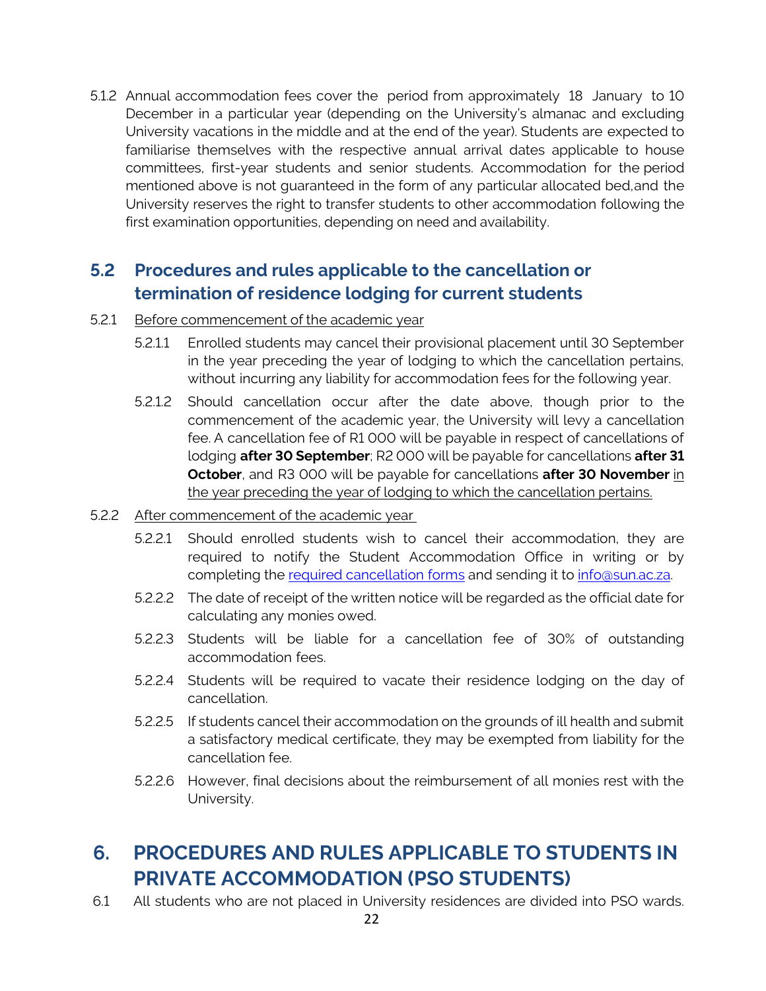5.1.2 Annual accommodation fees cover the period from approximately 18 January to 10 December in a particular year (depending on the University's almanac and excluding University vacations in the middle and at the end of the year). Students are expected to familiarise themselves with the respective annual arrival dates applicable to house committees, first-year students and senior students. Accommodation for the period mentioned above is not guaranteed in the form of any particular allocated bed,and the University reserves the right to transfer students to other accommodation following the first examination opportunities, depending on need and availability.

## **5.2 Procedures and rules applicable to the cancellation or termination of residence lodging for current students**

- 5.2.1 Before commencement of the academic year
	- 5.2.1.1 Enrolled students may cancel their provisional placement until 30 September in the year preceding the year of lodging to which the cancellation pertains, without incurring any liability for accommodation fees for the following year.
	- 5.2.1.2 Should cancellation occur after the date above, though prior to the commencement of the academic year, the University will levy a cancellation fee. A cancellation fee of R1 000 will be payable in respect of cancellations of lodging **after 30 September**; R2 000 will be payable for cancellations **after 31 October**, and R3 000 will be payable for cancellations **after 30 November** in the year preceding the year of lodging to which the cancellation pertains.
- 5.2.2 After commencement of the academic year
	- 5.2.2.1 Should enrolled students wish to cancel their accommodation, they are required to notify the Student Accommodation Office in writing or by completing the required [cancellation forms](http://www.sun.ac.za/english/maties/Documents/Cancellation%20of%20residence%20placement.pdf) and sending it to [info@sun.ac.za.](mailto:info@sun.ac.za)
	- 5.2.2.2 The date of receipt of the written notice will be regarded as the official date for calculating any monies owed.
	- 5.2.2.3 Students will be liable for a cancellation fee of 30% of outstanding accommodation fees.
	- 5.2.2.4 Students will be required to vacate their residence lodging on the day of cancellation.
	- 5.2.2.5 If students cancel their accommodation on the grounds of ill health and submit a satisfactory medical certificate, they may be exempted from liability for the cancellation fee.
	- 5.2.2.6 However, final decisions about the reimbursement of all monies rest with the University.

# **6. PROCEDURES AND RULES APPLICABLE TO STUDENTS IN PRIVATE ACCOMMODATION (PSO STUDENTS)**

6.1 All students who are not placed in University residences are divided into PSO wards.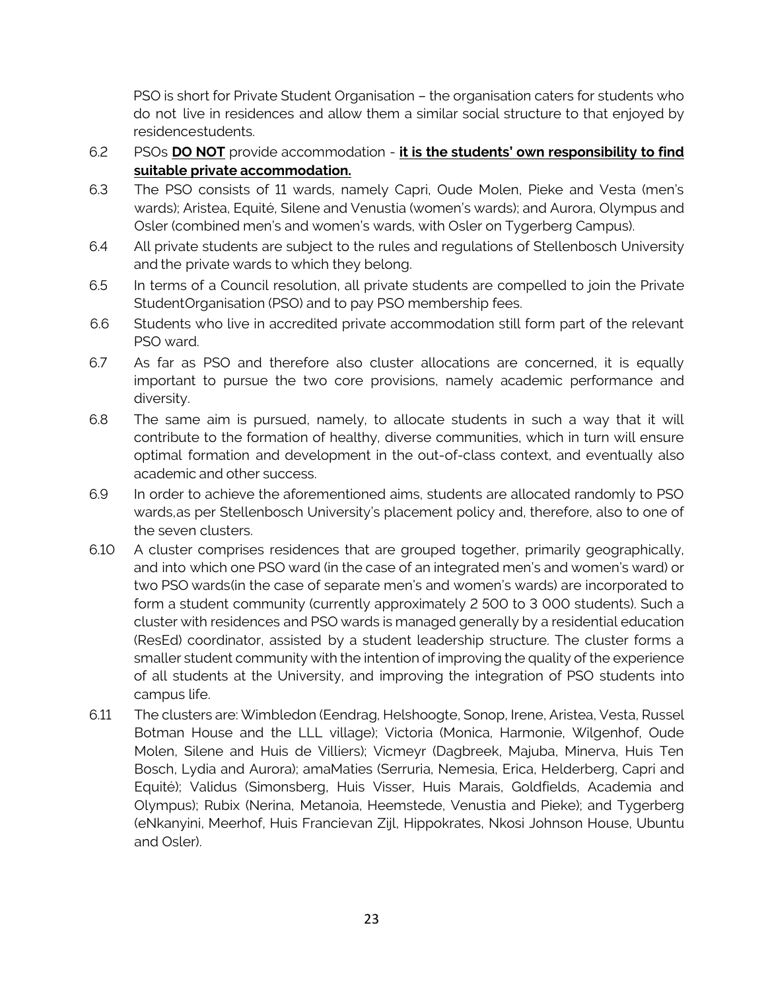PSO is short for Private Student Organisation – the organisation caters for students who do not live in residences and allow them a similar social structure to that enjoyed by residencestudents.

- 6.2 PSOs **DO NOT** provide accommodation **it is the students' own responsibility to find suitable private accommodation.**
- 6.3 The PSO consists of 11 wards, namely Capri, Oude Molen, Pieke and Vesta (men's wards); Aristea, Equité, Silene and Venustia (women's wards); and Aurora, Olympus and Osler (combined men's and women's wards, with Osler on Tygerberg Campus).
- 6.4 All private students are subject to the rules and regulations of Stellenbosch University and the private wards to which they belong.
- 6.5 In terms of a Council resolution, all private students are compelled to join the Private StudentOrganisation (PSO) and to pay PSO membership fees.
- 6.6 Students who live in accredited private accommodation still form part of the relevant PSO ward.
- 6.7 As far as PSO and therefore also cluster allocations are concerned, it is equally important to pursue the two core provisions, namely academic performance and diversity.
- 6.8 The same aim is pursued, namely, to allocate students in such a way that it will contribute to the formation of healthy, diverse communities, which in turn will ensure optimal formation and development in the out-of-class context, and eventually also academic and other success.
- 6.9 In order to achieve the aforementioned aims, students are allocated randomly to PSO wards,as per Stellenbosch University's placement policy and, therefore, also to one of the seven clusters.
- 6.10 A cluster comprises residences that are grouped together, primarily geographically, and into which one PSO ward (in the case of an integrated men's and women's ward) or two PSO wards(in the case of separate men's and women's wards) are incorporated to form a student community (currently approximately 2 500 to 3 000 students). Such a cluster with residences and PSO wards is managed generally by a residential education (ResEd) coordinator, assisted by a student leadership structure. The cluster forms a smaller student community with the intention of improving the quality of the experience of all students at the University, and improving the integration of PSO students into campus life.
- 6.11 The clusters are: Wimbledon (Eendrag, Helshoogte, Sonop, Irene, Aristea, Vesta, Russel Botman House and the LLL village); Victoria (Monica, Harmonie, Wilgenhof, Oude Molen, Silene and Huis de Villiers); Vicmeyr (Dagbreek, Majuba, Minerva, Huis Ten Bosch, Lydia and Aurora); amaMaties (Serruria, Nemesia, Erica, Helderberg, Capri and Equité); Validus (Simonsberg, Huis Visser, Huis Marais, Goldfields, Academia and Olympus); Rubix (Nerina, Metanoia, Heemstede, Venustia and Pieke); and Tygerberg (eNkanyini, Meerhof, Huis Francievan Zijl, Hippokrates, Nkosi Johnson House, Ubuntu and Osler).